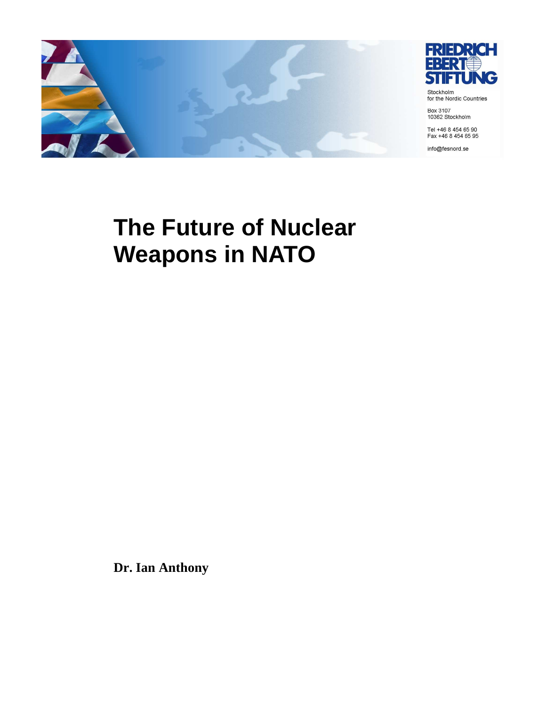

**The Future of Nuclear** 

**Weapons in NATO** 

**Dr. Ian Anthony**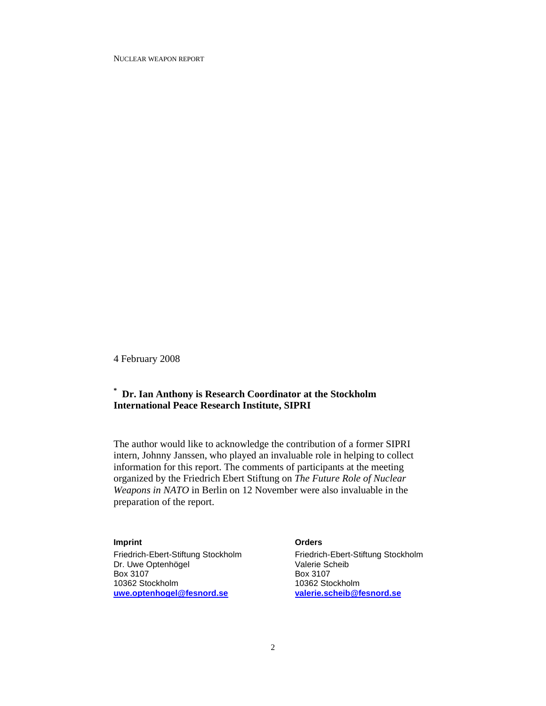4 February 2008

### **\* Dr. Ian Anthony is Research Coordinator at the Stockholm International Peace Research Institute, SIPRI**

The author would like to acknowledge the contribution of a former SIPRI intern, Johnny Janssen, who played an invaluable role in helping to collect information for this report. The comments of participants at the meeting organized by the Friedrich Ebert Stiftung on *The Future Role of Nuclear Weapons in NATO* in Berlin on 12 November were also invaluable in the preparation of the report.

#### **Imprint Community Community Community Community Community Community Community Community Community Community Community Community Community Community Community Community Community Community Community Community Community Com**

Friedrich-Ebert-Stiftung Stockholm Friedrich-Ebert-Stiftung Stockholm<br>
Dr. Uwe Optenhögel<br>
Valerie Scheib Dr. Uwe Optenhögel Box 3107 Box 3107 10362 Stockholm 10362 Stockholm<br>
10362 Stockholm 10362 Stockholm<br>
10362 Stockholm 10362 Stockholm 10362 Stockholm **uwe.optenhogel@fesnord.se valerie.scheib@fesnord.se**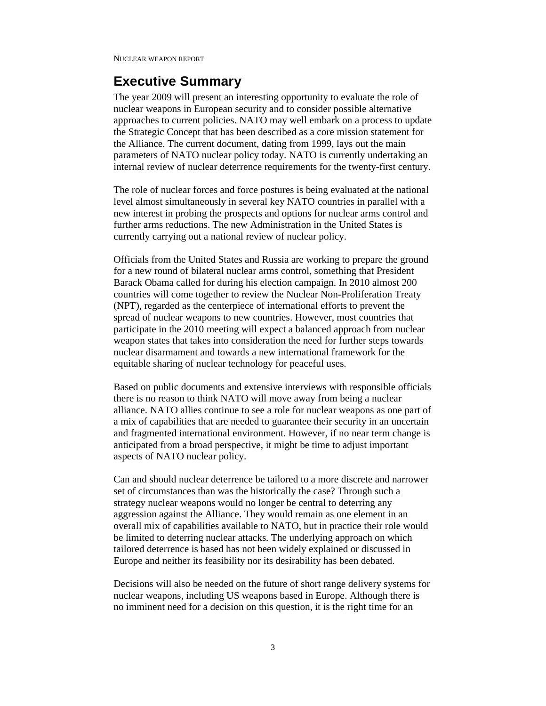# **Executive Summary**

The year 2009 will present an interesting opportunity to evaluate the role of nuclear weapons in European security and to consider possible alternative approaches to current policies. NATO may well embark on a process to update the Strategic Concept that has been described as a core mission statement for the Alliance. The current document, dating from 1999, lays out the main parameters of NATO nuclear policy today. NATO is currently undertaking an internal review of nuclear deterrence requirements for the twenty-first century.

The role of nuclear forces and force postures is being evaluated at the national level almost simultaneously in several key NATO countries in parallel with a new interest in probing the prospects and options for nuclear arms control and further arms reductions. The new Administration in the United States is currently carrying out a national review of nuclear policy.

Officials from the United States and Russia are working to prepare the ground for a new round of bilateral nuclear arms control, something that President Barack Obama called for during his election campaign. In 2010 almost 200 countries will come together to review the Nuclear Non-Proliferation Treaty (NPT), regarded as the centerpiece of international efforts to prevent the spread of nuclear weapons to new countries. However, most countries that participate in the 2010 meeting will expect a balanced approach from nuclear weapon states that takes into consideration the need for further steps towards nuclear disarmament and towards a new international framework for the equitable sharing of nuclear technology for peaceful uses.

Based on public documents and extensive interviews with responsible officials there is no reason to think NATO will move away from being a nuclear alliance. NATO allies continue to see a role for nuclear weapons as one part of a mix of capabilities that are needed to guarantee their security in an uncertain and fragmented international environment. However, if no near term change is anticipated from a broad perspective, it might be time to adjust important aspects of NATO nuclear policy.

Can and should nuclear deterrence be tailored to a more discrete and narrower set of circumstances than was the historically the case? Through such a strategy nuclear weapons would no longer be central to deterring any aggression against the Alliance. They would remain as one element in an overall mix of capabilities available to NATO, but in practice their role would be limited to deterring nuclear attacks. The underlying approach on which tailored deterrence is based has not been widely explained or discussed in Europe and neither its feasibility nor its desirability has been debated.

Decisions will also be needed on the future of short range delivery systems for nuclear weapons, including US weapons based in Europe. Although there is no imminent need for a decision on this question, it is the right time for an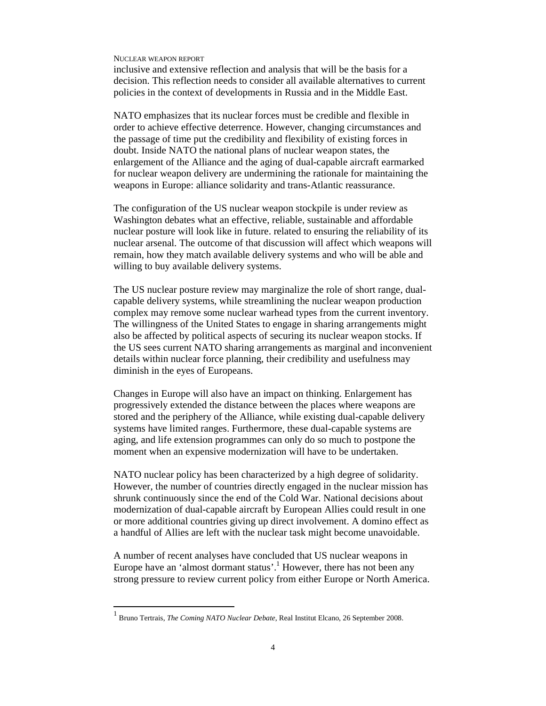inclusive and extensive reflection and analysis that will be the basis for a decision. This reflection needs to consider all available alternatives to current policies in the context of developments in Russia and in the Middle East.

NATO emphasizes that its nuclear forces must be credible and flexible in order to achieve effective deterrence. However, changing circumstances and the passage of time put the credibility and flexibility of existing forces in doubt. Inside NATO the national plans of nuclear weapon states, the enlargement of the Alliance and the aging of dual-capable aircraft earmarked for nuclear weapon delivery are undermining the rationale for maintaining the weapons in Europe: alliance solidarity and trans-Atlantic reassurance.

The configuration of the US nuclear weapon stockpile is under review as Washington debates what an effective, reliable, sustainable and affordable nuclear posture will look like in future. related to ensuring the reliability of its nuclear arsenal. The outcome of that discussion will affect which weapons will remain, how they match available delivery systems and who will be able and willing to buy available delivery systems.

The US nuclear posture review may marginalize the role of short range, dualcapable delivery systems, while streamlining the nuclear weapon production complex may remove some nuclear warhead types from the current inventory. The willingness of the United States to engage in sharing arrangements might also be affected by political aspects of securing its nuclear weapon stocks. If the US sees current NATO sharing arrangements as marginal and inconvenient details within nuclear force planning, their credibility and usefulness may diminish in the eyes of Europeans.

Changes in Europe will also have an impact on thinking. Enlargement has progressively extended the distance between the places where weapons are stored and the periphery of the Alliance, while existing dual-capable delivery systems have limited ranges. Furthermore, these dual-capable systems are aging, and life extension programmes can only do so much to postpone the moment when an expensive modernization will have to be undertaken.

NATO nuclear policy has been characterized by a high degree of solidarity. However, the number of countries directly engaged in the nuclear mission has shrunk continuously since the end of the Cold War. National decisions about modernization of dual-capable aircraft by European Allies could result in one or more additional countries giving up direct involvement. A domino effect as a handful of Allies are left with the nuclear task might become unavoidable.

A number of recent analyses have concluded that US nuclear weapons in Europe have an 'almost dormant status'.<sup>1</sup> However, there has not been any strong pressure to review current policy from either Europe or North America.

<sup>1</sup> Bruno Tertrais, *The Coming NATO Nuclear Debate*, Real Institut Elcano, 26 September 2008.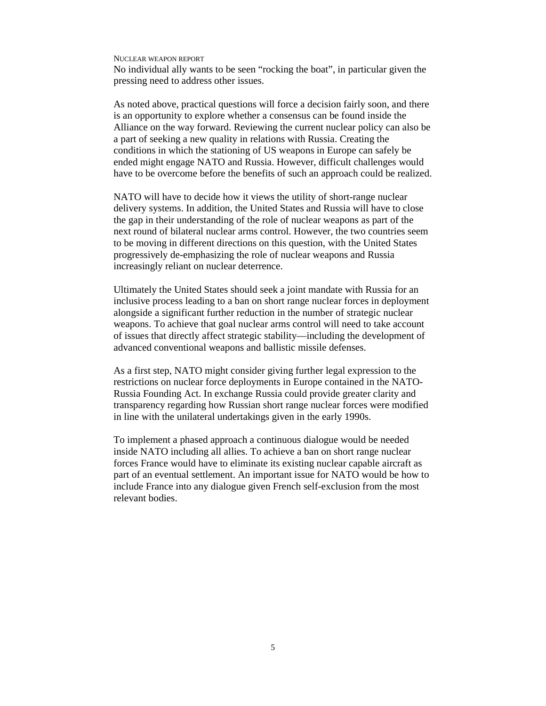No individual ally wants to be seen "rocking the boat", in particular given the pressing need to address other issues.

As noted above, practical questions will force a decision fairly soon, and there is an opportunity to explore whether a consensus can be found inside the Alliance on the way forward. Reviewing the current nuclear policy can also be a part of seeking a new quality in relations with Russia. Creating the conditions in which the stationing of US weapons in Europe can safely be ended might engage NATO and Russia. However, difficult challenges would have to be overcome before the benefits of such an approach could be realized.

NATO will have to decide how it views the utility of short-range nuclear delivery systems. In addition, the United States and Russia will have to close the gap in their understanding of the role of nuclear weapons as part of the next round of bilateral nuclear arms control. However, the two countries seem to be moving in different directions on this question, with the United States progressively de-emphasizing the role of nuclear weapons and Russia increasingly reliant on nuclear deterrence.

Ultimately the United States should seek a joint mandate with Russia for an inclusive process leading to a ban on short range nuclear forces in deployment alongside a significant further reduction in the number of strategic nuclear weapons. To achieve that goal nuclear arms control will need to take account of issues that directly affect strategic stability—including the development of advanced conventional weapons and ballistic missile defenses.

As a first step, NATO might consider giving further legal expression to the restrictions on nuclear force deployments in Europe contained in the NATO-Russia Founding Act. In exchange Russia could provide greater clarity and transparency regarding how Russian short range nuclear forces were modified in line with the unilateral undertakings given in the early 1990s.

To implement a phased approach a continuous dialogue would be needed inside NATO including all allies. To achieve a ban on short range nuclear forces France would have to eliminate its existing nuclear capable aircraft as part of an eventual settlement. An important issue for NATO would be how to include France into any dialogue given French self-exclusion from the most relevant bodies.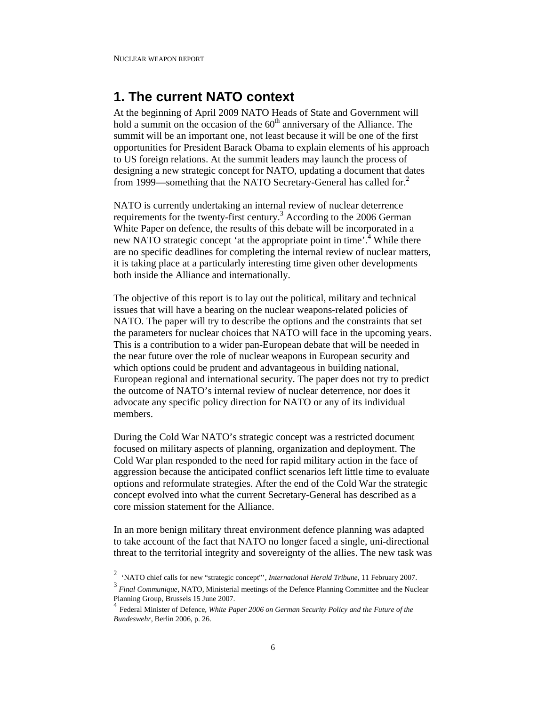# **1. The current NATO context**

At the beginning of April 2009 NATO Heads of State and Government will hold a summit on the occasion of the  $60<sup>th</sup>$  anniversary of the Alliance. The summit will be an important one, not least because it will be one of the first opportunities for President Barack Obama to explain elements of his approach to US foreign relations. At the summit leaders may launch the process of designing a new strategic concept for NATO, updating a document that dates from 1999—something that the NATO Secretary-General has called for.<sup>2</sup>

NATO is currently undertaking an internal review of nuclear deterrence requirements for the twenty-first century.<sup>3</sup> According to the 2006 German White Paper on defence, the results of this debate will be incorporated in a new NATO strategic concept 'at the appropriate point in time'.<sup>4</sup> While there are no specific deadlines for completing the internal review of nuclear matters, it is taking place at a particularly interesting time given other developments both inside the Alliance and internationally.

The objective of this report is to lay out the political, military and technical issues that will have a bearing on the nuclear weapons-related policies of NATO. The paper will try to describe the options and the constraints that set the parameters for nuclear choices that NATO will face in the upcoming years. This is a contribution to a wider pan-European debate that will be needed in the near future over the role of nuclear weapons in European security and which options could be prudent and advantageous in building national, European regional and international security. The paper does not try to predict the outcome of NATO's internal review of nuclear deterrence, nor does it advocate any specific policy direction for NATO or any of its individual members.

During the Cold War NATO's strategic concept was a restricted document focused on military aspects of planning, organization and deployment. The Cold War plan responded to the need for rapid military action in the face of aggression because the anticipated conflict scenarios left little time to evaluate options and reformulate strategies. After the end of the Cold War the strategic concept evolved into what the current Secretary-General has described as a core mission statement for the Alliance.

In an more benign military threat environment defence planning was adapted to take account of the fact that NATO no longer faced a single, uni-directional threat to the territorial integrity and sovereignty of the allies. The new task was

 2 'NATO chief calls for new "strategic concept"', *International Herald Tribune*, 11 February 2007.

<sup>3</sup> *Final Communique*, NATO, Ministerial meetings of the Defence Planning Committee and the Nuclear Planning Group, Brussels 15 June 2007.

Federal Minister of Defence, *White Paper 2006 on German Security Policy and the Future of the Bundeswehr*, Berlin 2006, p. 26.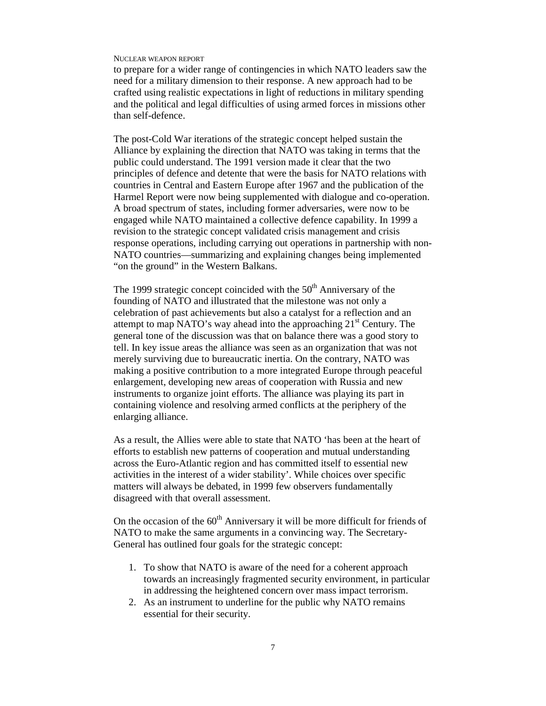to prepare for a wider range of contingencies in which NATO leaders saw the need for a military dimension to their response. A new approach had to be crafted using realistic expectations in light of reductions in military spending and the political and legal difficulties of using armed forces in missions other than self-defence.

The post-Cold War iterations of the strategic concept helped sustain the Alliance by explaining the direction that NATO was taking in terms that the public could understand. The 1991 version made it clear that the two principles of defence and detente that were the basis for NATO relations with countries in Central and Eastern Europe after 1967 and the publication of the Harmel Report were now being supplemented with dialogue and co-operation. A broad spectrum of states, including former adversaries, were now to be engaged while NATO maintained a collective defence capability. In 1999 a revision to the strategic concept validated crisis management and crisis response operations, including carrying out operations in partnership with non-NATO countries—summarizing and explaining changes being implemented "on the ground" in the Western Balkans.

The 1999 strategic concept coincided with the  $50<sup>th</sup>$  Anniversary of the founding of NATO and illustrated that the milestone was not only a celebration of past achievements but also a catalyst for a reflection and an attempt to map NATO's way ahead into the approaching  $21<sup>st</sup>$  Century. The general tone of the discussion was that on balance there was a good story to tell. In key issue areas the alliance was seen as an organization that was not merely surviving due to bureaucratic inertia. On the contrary, NATO was making a positive contribution to a more integrated Europe through peaceful enlargement, developing new areas of cooperation with Russia and new instruments to organize joint efforts. The alliance was playing its part in containing violence and resolving armed conflicts at the periphery of the enlarging alliance.

As a result, the Allies were able to state that NATO 'has been at the heart of efforts to establish new patterns of cooperation and mutual understanding across the Euro-Atlantic region and has committed itself to essential new activities in the interest of a wider stability'. While choices over specific matters will always be debated, in 1999 few observers fundamentally disagreed with that overall assessment.

On the occasion of the  $60<sup>th</sup>$  Anniversary it will be more difficult for friends of NATO to make the same arguments in a convincing way. The Secretary-General has outlined four goals for the strategic concept:

- 1. To show that NATO is aware of the need for a coherent approach towards an increasingly fragmented security environment, in particular in addressing the heightened concern over mass impact terrorism.
- 2. As an instrument to underline for the public why NATO remains essential for their security.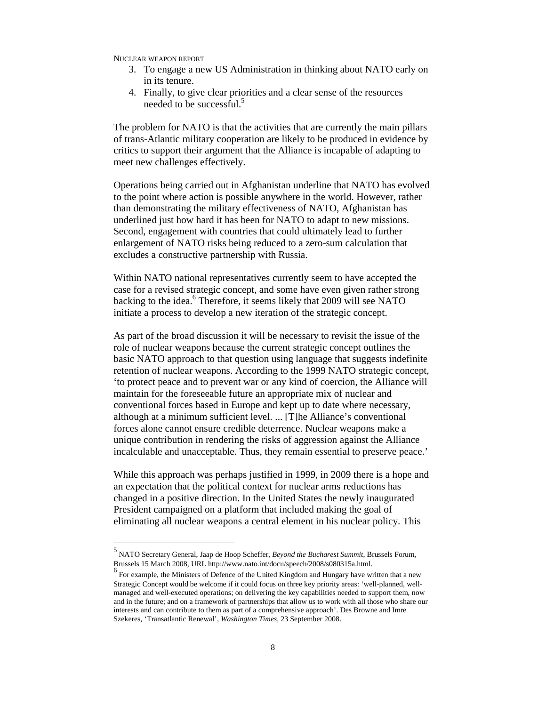-

- 3. To engage a new US Administration in thinking about NATO early on in its tenure.
- 4. Finally, to give clear priorities and a clear sense of the resources needed to be successful.<sup>5</sup>

The problem for NATO is that the activities that are currently the main pillars of trans-Atlantic military cooperation are likely to be produced in evidence by critics to support their argument that the Alliance is incapable of adapting to meet new challenges effectively.

Operations being carried out in Afghanistan underline that NATO has evolved to the point where action is possible anywhere in the world. However, rather than demonstrating the military effectiveness of NATO, Afghanistan has underlined just how hard it has been for NATO to adapt to new missions. Second, engagement with countries that could ultimately lead to further enlargement of NATO risks being reduced to a zero-sum calculation that excludes a constructive partnership with Russia.

Within NATO national representatives currently seem to have accepted the case for a revised strategic concept, and some have even given rather strong backing to the idea.<sup>6</sup> Therefore, it seems likely that 2009 will see NATO initiate a process to develop a new iteration of the strategic concept.

As part of the broad discussion it will be necessary to revisit the issue of the role of nuclear weapons because the current strategic concept outlines the basic NATO approach to that question using language that suggests indefinite retention of nuclear weapons. According to the 1999 NATO strategic concept, 'to protect peace and to prevent war or any kind of coercion, the Alliance will maintain for the foreseeable future an appropriate mix of nuclear and conventional forces based in Europe and kept up to date where necessary, although at a minimum sufficient level. ... [T]he Alliance's conventional forces alone cannot ensure credible deterrence. Nuclear weapons make a unique contribution in rendering the risks of aggression against the Alliance incalculable and unacceptable. Thus, they remain essential to preserve peace.'

While this approach was perhaps justified in 1999, in 2009 there is a hope and an expectation that the political context for nuclear arms reductions has changed in a positive direction. In the United States the newly inaugurated President campaigned on a platform that included making the goal of eliminating all nuclear weapons a central element in his nuclear policy. This

<sup>5</sup> NATO Secretary General, Jaap de Hoop Scheffer, *Beyond the Bucharest Summit*, Brussels Forum, Brussels 15 March 2008, URL http://www.nato.int/docu/speech/2008/s080315a.html.

<sup>&</sup>lt;sup>6</sup> For example, the Ministers of Defence of the United Kingdom and Hungary have written that a new Strategic Concept would be welcome if it could focus on three key priority areas: 'well-planned, wellmanaged and well-executed operations; on delivering the key capabilities needed to support them, now and in the future; and on a framework of partnerships that allow us to work with all those who share our interests and can contribute to them as part of a comprehensive approach'. Des Browne and Imre Szekeres, 'Transatlantic Renewal', *Washington Times*, 23 September 2008.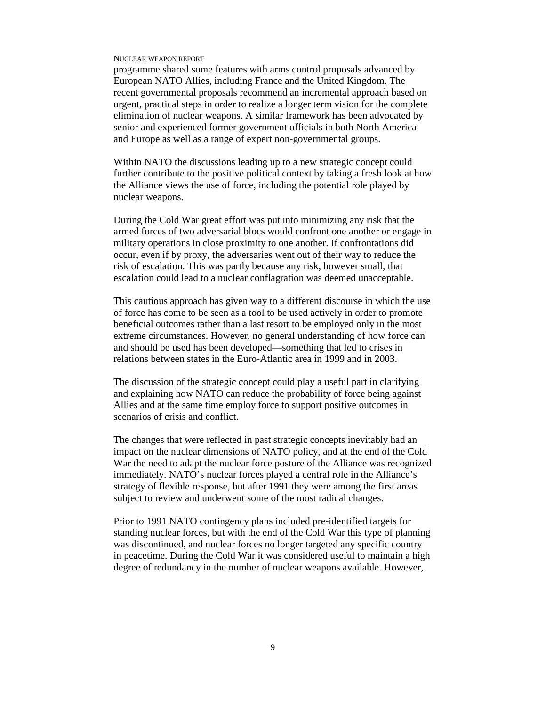programme shared some features with arms control proposals advanced by European NATO Allies, including France and the United Kingdom. The recent governmental proposals recommend an incremental approach based on urgent, practical steps in order to realize a longer term vision for the complete elimination of nuclear weapons. A similar framework has been advocated by senior and experienced former government officials in both North America and Europe as well as a range of expert non-governmental groups.

Within NATO the discussions leading up to a new strategic concept could further contribute to the positive political context by taking a fresh look at how the Alliance views the use of force, including the potential role played by nuclear weapons.

During the Cold War great effort was put into minimizing any risk that the armed forces of two adversarial blocs would confront one another or engage in military operations in close proximity to one another. If confrontations did occur, even if by proxy, the adversaries went out of their way to reduce the risk of escalation. This was partly because any risk, however small, that escalation could lead to a nuclear conflagration was deemed unacceptable.

This cautious approach has given way to a different discourse in which the use of force has come to be seen as a tool to be used actively in order to promote beneficial outcomes rather than a last resort to be employed only in the most extreme circumstances. However, no general understanding of how force can and should be used has been developed—something that led to crises in relations between states in the Euro-Atlantic area in 1999 and in 2003.

The discussion of the strategic concept could play a useful part in clarifying and explaining how NATO can reduce the probability of force being against Allies and at the same time employ force to support positive outcomes in scenarios of crisis and conflict.

The changes that were reflected in past strategic concepts inevitably had an impact on the nuclear dimensions of NATO policy, and at the end of the Cold War the need to adapt the nuclear force posture of the Alliance was recognized immediately. NATO's nuclear forces played a central role in the Alliance's strategy of flexible response, but after 1991 they were among the first areas subject to review and underwent some of the most radical changes.

Prior to 1991 NATO contingency plans included pre-identified targets for standing nuclear forces, but with the end of the Cold War this type of planning was discontinued, and nuclear forces no longer targeted any specific country in peacetime. During the Cold War it was considered useful to maintain a high degree of redundancy in the number of nuclear weapons available. However,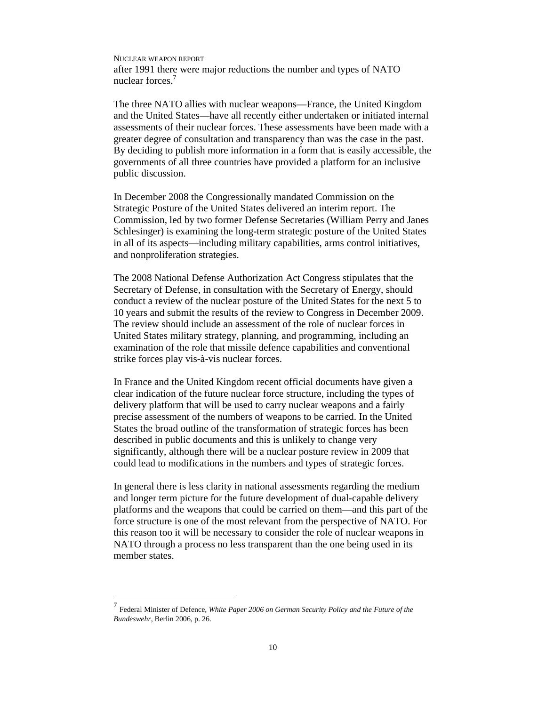NUCLEAR WEAPON REPORT after 1991 there were major reductions the number and types of NATO nuclear forces.<sup>7</sup>

The three NATO allies with nuclear weapons—France, the United Kingdom and the United States—have all recently either undertaken or initiated internal assessments of their nuclear forces. These assessments have been made with a greater degree of consultation and transparency than was the case in the past. By deciding to publish more information in a form that is easily accessible, the governments of all three countries have provided a platform for an inclusive public discussion.

In December 2008 the Congressionally mandated Commission on the Strategic Posture of the United States delivered an interim report. The Commission, led by two former Defense Secretaries (William Perry and Janes Schlesinger) is examining the long-term strategic posture of the United States in all of its aspects—including military capabilities, arms control initiatives, and nonproliferation strategies.

The 2008 National Defense Authorization Act Congress stipulates that the Secretary of Defense, in consultation with the Secretary of Energy, should conduct a review of the nuclear posture of the United States for the next 5 to 10 years and submit the results of the review to Congress in December 2009. The review should include an assessment of the role of nuclear forces in United States military strategy, planning, and programming, including an examination of the role that missile defence capabilities and conventional strike forces play vis-à-vis nuclear forces.

In France and the United Kingdom recent official documents have given a clear indication of the future nuclear force structure, including the types of delivery platform that will be used to carry nuclear weapons and a fairly precise assessment of the numbers of weapons to be carried. In the United States the broad outline of the transformation of strategic forces has been described in public documents and this is unlikely to change very significantly, although there will be a nuclear posture review in 2009 that could lead to modifications in the numbers and types of strategic forces.

In general there is less clarity in national assessments regarding the medium and longer term picture for the future development of dual-capable delivery platforms and the weapons that could be carried on them—and this part of the force structure is one of the most relevant from the perspective of NATO. For this reason too it will be necessary to consider the role of nuclear weapons in NATO through a process no less transparent than the one being used in its member states.

 7 Federal Minister of Defence, *White Paper 2006 on German Security Policy and the Future of the Bundeswehr*, Berlin 2006, p. 26.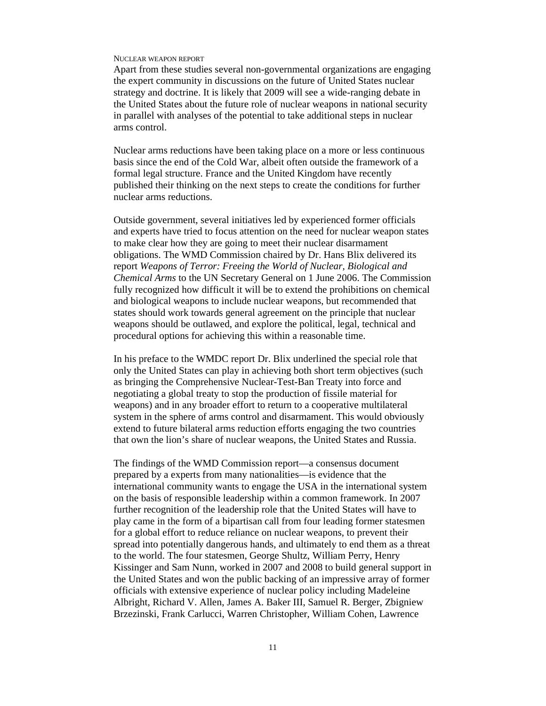Apart from these studies several non-governmental organizations are engaging the expert community in discussions on the future of United States nuclear strategy and doctrine. It is likely that 2009 will see a wide-ranging debate in the United States about the future role of nuclear weapons in national security in parallel with analyses of the potential to take additional steps in nuclear arms control.

Nuclear arms reductions have been taking place on a more or less continuous basis since the end of the Cold War, albeit often outside the framework of a formal legal structure. France and the United Kingdom have recently published their thinking on the next steps to create the conditions for further nuclear arms reductions.

Outside government, several initiatives led by experienced former officials and experts have tried to focus attention on the need for nuclear weapon states to make clear how they are going to meet their nuclear disarmament obligations. The WMD Commission chaired by Dr. Hans Blix delivered its report *Weapons of Terror: Freeing the World of Nuclear, Biological and Chemical Arms* to the UN Secretary General on 1 June 2006. The Commission fully recognized how difficult it will be to extend the prohibitions on chemical and biological weapons to include nuclear weapons, but recommended that states should work towards general agreement on the principle that nuclear weapons should be outlawed, and explore the political, legal, technical and procedural options for achieving this within a reasonable time.

In his preface to the WMDC report Dr. Blix underlined the special role that only the United States can play in achieving both short term objectives (such as bringing the Comprehensive Nuclear-Test-Ban Treaty into force and negotiating a global treaty to stop the production of fissile material for weapons) and in any broader effort to return to a cooperative multilateral system in the sphere of arms control and disarmament. This would obviously extend to future bilateral arms reduction efforts engaging the two countries that own the lion's share of nuclear weapons, the United States and Russia.

The findings of the WMD Commission report—a consensus document prepared by a experts from many nationalities—is evidence that the international community wants to engage the USA in the international system on the basis of responsible leadership within a common framework. In 2007 further recognition of the leadership role that the United States will have to play came in the form of a bipartisan call from four leading former statesmen for a global effort to reduce reliance on nuclear weapons, to prevent their spread into potentially dangerous hands, and ultimately to end them as a threat to the world. The four statesmen, George Shultz, William Perry, Henry Kissinger and Sam Nunn, worked in 2007 and 2008 to build general support in the United States and won the public backing of an impressive array of former officials with extensive experience of nuclear policy including Madeleine Albright, Richard V. Allen, James A. Baker III, Samuel R. Berger, Zbigniew Brzezinski, Frank Carlucci, Warren Christopher, William Cohen, Lawrence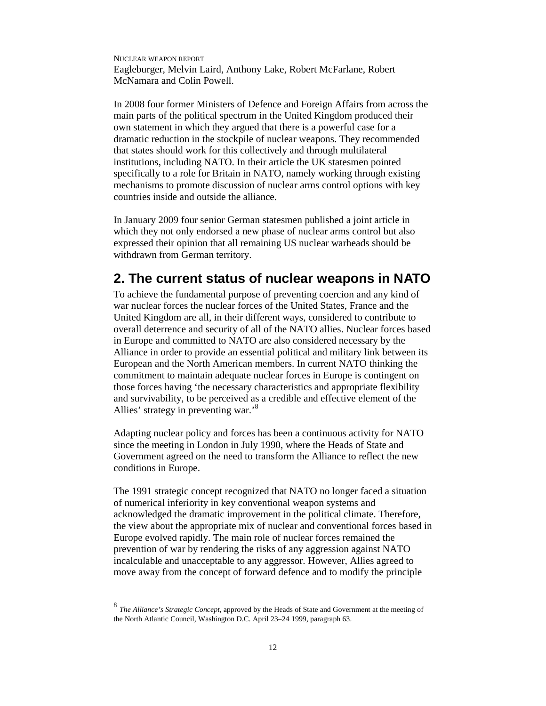NUCLEAR WEAPON REPORT Eagleburger, Melvin Laird, Anthony Lake, Robert McFarlane, Robert McNamara and Colin Powell.

In 2008 four former Ministers of Defence and Foreign Affairs from across the main parts of the political spectrum in the United Kingdom produced their own statement in which they argued that there is a powerful case for a dramatic reduction in the stockpile of nuclear weapons. They recommended that states should work for this collectively and through multilateral institutions, including NATO. In their article the UK statesmen pointed specifically to a role for Britain in NATO, namely working through existing mechanisms to promote discussion of nuclear arms control options with key countries inside and outside the alliance.

In January 2009 four senior German statesmen published a joint article in which they not only endorsed a new phase of nuclear arms control but also expressed their opinion that all remaining US nuclear warheads should be withdrawn from German territory.

# **2. The current status of nuclear weapons in NATO**

To achieve the fundamental purpose of preventing coercion and any kind of war nuclear forces the nuclear forces of the United States, France and the United Kingdom are all, in their different ways, considered to contribute to overall deterrence and security of all of the NATO allies. Nuclear forces based in Europe and committed to NATO are also considered necessary by the Alliance in order to provide an essential political and military link between its European and the North American members. In current NATO thinking the commitment to maintain adequate nuclear forces in Europe is contingent on those forces having 'the necessary characteristics and appropriate flexibility and survivability, to be perceived as a credible and effective element of the Allies' strategy in preventing war.'<sup>8</sup>

Adapting nuclear policy and forces has been a continuous activity for NATO since the meeting in London in July 1990, where the Heads of State and Government agreed on the need to transform the Alliance to reflect the new conditions in Europe.

The 1991 strategic concept recognized that NATO no longer faced a situation of numerical inferiority in key conventional weapon systems and acknowledged the dramatic improvement in the political climate. Therefore, the view about the appropriate mix of nuclear and conventional forces based in Europe evolved rapidly. The main role of nuclear forces remained the prevention of war by rendering the risks of any aggression against NATO incalculable and unacceptable to any aggressor. However, Allies agreed to move away from the concept of forward defence and to modify the principle

 8 *The Alliance's Strategic Concept*, approved by the Heads of State and Government at the meeting of the North Atlantic Council, Washington D.C. April 23–24 1999, paragraph 63.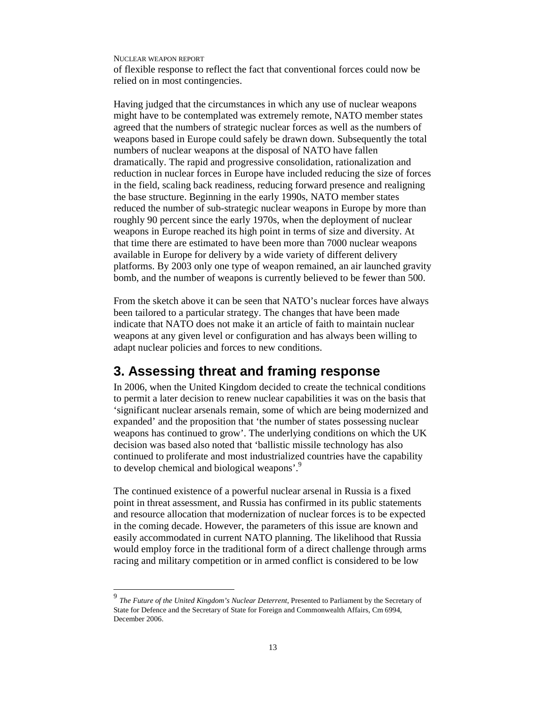-

of flexible response to reflect the fact that conventional forces could now be relied on in most contingencies.

Having judged that the circumstances in which any use of nuclear weapons might have to be contemplated was extremely remote, NATO member states agreed that the numbers of strategic nuclear forces as well as the numbers of weapons based in Europe could safely be drawn down. Subsequently the total numbers of nuclear weapons at the disposal of NATO have fallen dramatically. The rapid and progressive consolidation, rationalization and reduction in nuclear forces in Europe have included reducing the size of forces in the field, scaling back readiness, reducing forward presence and realigning the base structure. Beginning in the early 1990s, NATO member states reduced the number of sub-strategic nuclear weapons in Europe by more than roughly 90 percent since the early 1970s, when the deployment of nuclear weapons in Europe reached its high point in terms of size and diversity. At that time there are estimated to have been more than 7000 nuclear weapons available in Europe for delivery by a wide variety of different delivery platforms. By 2003 only one type of weapon remained, an air launched gravity bomb, and the number of weapons is currently believed to be fewer than 500.

From the sketch above it can be seen that NATO's nuclear forces have always been tailored to a particular strategy. The changes that have been made indicate that NATO does not make it an article of faith to maintain nuclear weapons at any given level or configuration and has always been willing to adapt nuclear policies and forces to new conditions.

# **3. Assessing threat and framing response**

In 2006, when the United Kingdom decided to create the technical conditions to permit a later decision to renew nuclear capabilities it was on the basis that 'significant nuclear arsenals remain, some of which are being modernized and expanded' and the proposition that 'the number of states possessing nuclear weapons has continued to grow'. The underlying conditions on which the UK decision was based also noted that 'ballistic missile technology has also continued to proliferate and most industrialized countries have the capability to develop chemical and biological weapons'.<sup>9</sup>

The continued existence of a powerful nuclear arsenal in Russia is a fixed point in threat assessment, and Russia has confirmed in its public statements and resource allocation that modernization of nuclear forces is to be expected in the coming decade. However, the parameters of this issue are known and easily accommodated in current NATO planning. The likelihood that Russia would employ force in the traditional form of a direct challenge through arms racing and military competition or in armed conflict is considered to be low

<sup>9</sup> *The Future of the United Kingdom's Nuclear Deterrent*, Presented to Parliament by the Secretary of State for Defence and the Secretary of State for Foreign and Commonwealth Affairs, Cm 6994, December 2006.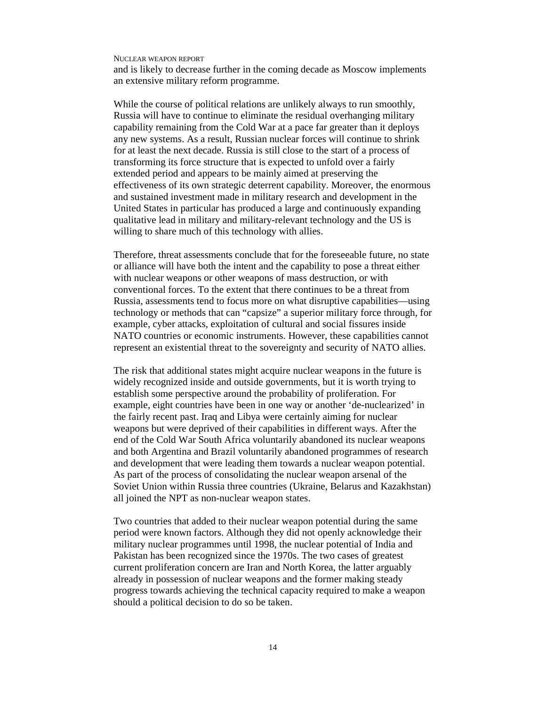and is likely to decrease further in the coming decade as Moscow implements an extensive military reform programme.

While the course of political relations are unlikely always to run smoothly, Russia will have to continue to eliminate the residual overhanging military capability remaining from the Cold War at a pace far greater than it deploys any new systems. As a result, Russian nuclear forces will continue to shrink for at least the next decade. Russia is still close to the start of a process of transforming its force structure that is expected to unfold over a fairly extended period and appears to be mainly aimed at preserving the effectiveness of its own strategic deterrent capability. Moreover, the enormous and sustained investment made in military research and development in the United States in particular has produced a large and continuously expanding qualitative lead in military and military-relevant technology and the US is willing to share much of this technology with allies.

Therefore, threat assessments conclude that for the foreseeable future, no state or alliance will have both the intent and the capability to pose a threat either with nuclear weapons or other weapons of mass destruction, or with conventional forces. To the extent that there continues to be a threat from Russia, assessments tend to focus more on what disruptive capabilities—using technology or methods that can "capsize" a superior military force through, for example, cyber attacks, exploitation of cultural and social fissures inside NATO countries or economic instruments. However, these capabilities cannot represent an existential threat to the sovereignty and security of NATO allies.

The risk that additional states might acquire nuclear weapons in the future is widely recognized inside and outside governments, but it is worth trying to establish some perspective around the probability of proliferation. For example, eight countries have been in one way or another 'de-nuclearized' in the fairly recent past. Iraq and Libya were certainly aiming for nuclear weapons but were deprived of their capabilities in different ways. After the end of the Cold War South Africa voluntarily abandoned its nuclear weapons and both Argentina and Brazil voluntarily abandoned programmes of research and development that were leading them towards a nuclear weapon potential. As part of the process of consolidating the nuclear weapon arsenal of the Soviet Union within Russia three countries (Ukraine, Belarus and Kazakhstan) all joined the NPT as non-nuclear weapon states.

Two countries that added to their nuclear weapon potential during the same period were known factors. Although they did not openly acknowledge their military nuclear programmes until 1998, the nuclear potential of India and Pakistan has been recognized since the 1970s. The two cases of greatest current proliferation concern are Iran and North Korea, the latter arguably already in possession of nuclear weapons and the former making steady progress towards achieving the technical capacity required to make a weapon should a political decision to do so be taken.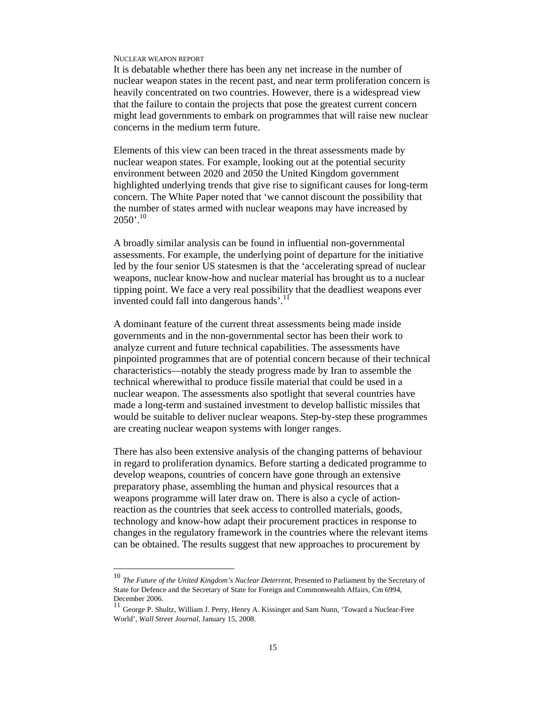-

It is debatable whether there has been any net increase in the number of nuclear weapon states in the recent past, and near term proliferation concern is heavily concentrated on two countries. However, there is a widespread view that the failure to contain the projects that pose the greatest current concern might lead governments to embark on programmes that will raise new nuclear concerns in the medium term future.

Elements of this view can been traced in the threat assessments made by nuclear weapon states. For example, looking out at the potential security environment between 2020 and 2050 the United Kingdom government highlighted underlying trends that give rise to significant causes for long-term concern. The White Paper noted that 'we cannot discount the possibility that the number of states armed with nuclear weapons may have increased by  $2050'$ <sup>10</sup>

A broadly similar analysis can be found in influential non-governmental assessments. For example, the underlying point of departure for the initiative led by the four senior US statesmen is that the 'accelerating spread of nuclear weapons, nuclear know-how and nuclear material has brought us to a nuclear tipping point. We face a very real possibility that the deadliest weapons ever invented could fall into dangerous hands'.<sup>11</sup>

A dominant feature of the current threat assessments being made inside governments and in the non-governmental sector has been their work to analyze current and future technical capabilities. The assessments have pinpointed programmes that are of potential concern because of their technical characteristics—notably the steady progress made by Iran to assemble the technical wherewithal to produce fissile material that could be used in a nuclear weapon. The assessments also spotlight that several countries have made a long-term and sustained investment to develop ballistic missiles that would be suitable to deliver nuclear weapons. Step-by-step these programmes are creating nuclear weapon systems with longer ranges.

There has also been extensive analysis of the changing patterns of behaviour in regard to proliferation dynamics. Before starting a dedicated programme to develop weapons, countries of concern have gone through an extensive preparatory phase, assembling the human and physical resources that a weapons programme will later draw on. There is also a cycle of actionreaction as the countries that seek access to controlled materials, goods, technology and know-how adapt their procurement practices in response to changes in the regulatory framework in the countries where the relevant items can be obtained. The results suggest that new approaches to procurement by

<sup>10</sup> *The Future of the United Kingdom's Nuclear Deterrent*, Presented to Parliament by the Secretary of State for Defence and the Secretary of State for Foreign and Commonwealth Affairs, Cm 6994, December 2006.

<sup>11</sup> George P. Shultz, William J. Perry, Henry A. Kissinger and Sam Nunn, 'Toward a Nuclear-Free World', *Wall Street Journal*, January 15, 2008.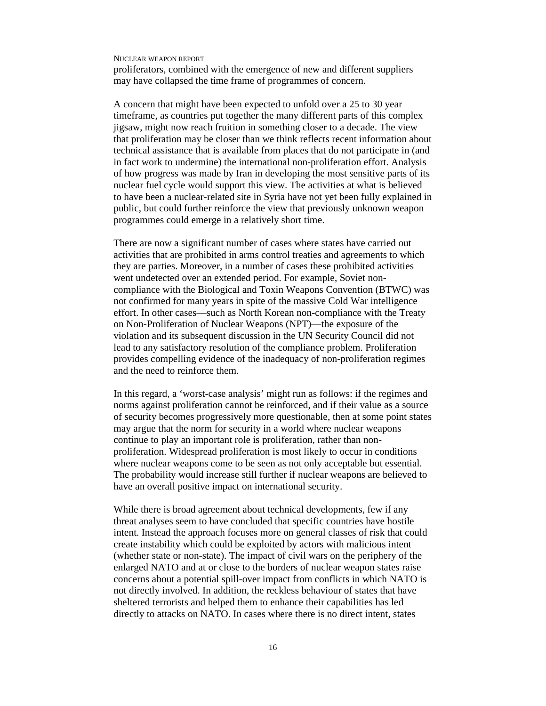proliferators, combined with the emergence of new and different suppliers may have collapsed the time frame of programmes of concern.

A concern that might have been expected to unfold over a 25 to 30 year timeframe, as countries put together the many different parts of this complex jigsaw, might now reach fruition in something closer to a decade. The view that proliferation may be closer than we think reflects recent information about technical assistance that is available from places that do not participate in (and in fact work to undermine) the international non-proliferation effort. Analysis of how progress was made by Iran in developing the most sensitive parts of its nuclear fuel cycle would support this view. The activities at what is believed to have been a nuclear-related site in Syria have not yet been fully explained in public, but could further reinforce the view that previously unknown weapon programmes could emerge in a relatively short time.

There are now a significant number of cases where states have carried out activities that are prohibited in arms control treaties and agreements to which they are parties. Moreover, in a number of cases these prohibited activities went undetected over an extended period. For example, Soviet noncompliance with the Biological and Toxin Weapons Convention (BTWC) was not confirmed for many years in spite of the massive Cold War intelligence effort. In other cases—such as North Korean non-compliance with the Treaty on Non-Proliferation of Nuclear Weapons (NPT)—the exposure of the violation and its subsequent discussion in the UN Security Council did not lead to any satisfactory resolution of the compliance problem. Proliferation provides compelling evidence of the inadequacy of non-proliferation regimes and the need to reinforce them.

In this regard, a 'worst-case analysis' might run as follows: if the regimes and norms against proliferation cannot be reinforced, and if their value as a source of security becomes progressively more questionable, then at some point states may argue that the norm for security in a world where nuclear weapons continue to play an important role is proliferation, rather than nonproliferation. Widespread proliferation is most likely to occur in conditions where nuclear weapons come to be seen as not only acceptable but essential. The probability would increase still further if nuclear weapons are believed to have an overall positive impact on international security.

While there is broad agreement about technical developments, few if any threat analyses seem to have concluded that specific countries have hostile intent. Instead the approach focuses more on general classes of risk that could create instability which could be exploited by actors with malicious intent (whether state or non-state). The impact of civil wars on the periphery of the enlarged NATO and at or close to the borders of nuclear weapon states raise concerns about a potential spill-over impact from conflicts in which NATO is not directly involved. In addition, the reckless behaviour of states that have sheltered terrorists and helped them to enhance their capabilities has led directly to attacks on NATO. In cases where there is no direct intent, states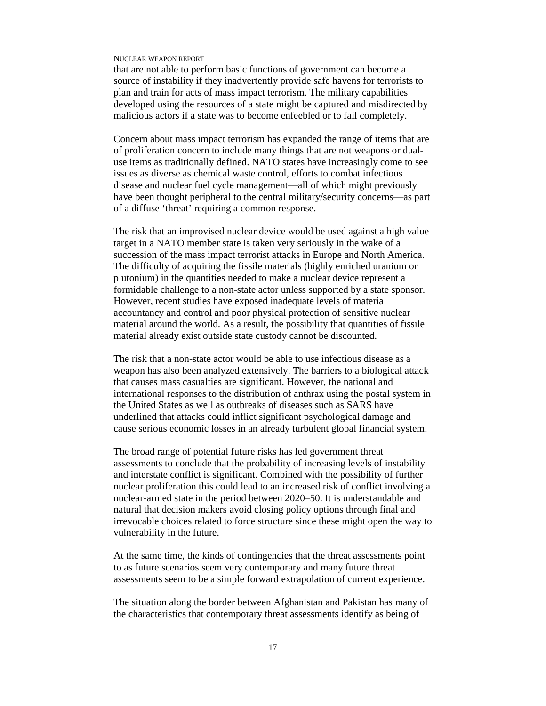that are not able to perform basic functions of government can become a source of instability if they inadvertently provide safe havens for terrorists to plan and train for acts of mass impact terrorism. The military capabilities developed using the resources of a state might be captured and misdirected by malicious actors if a state was to become enfeebled or to fail completely.

Concern about mass impact terrorism has expanded the range of items that are of proliferation concern to include many things that are not weapons or dualuse items as traditionally defined. NATO states have increasingly come to see issues as diverse as chemical waste control, efforts to combat infectious disease and nuclear fuel cycle management—all of which might previously have been thought peripheral to the central military/security concerns—as part of a diffuse 'threat' requiring a common response.

The risk that an improvised nuclear device would be used against a high value target in a NATO member state is taken very seriously in the wake of a succession of the mass impact terrorist attacks in Europe and North America. The difficulty of acquiring the fissile materials (highly enriched uranium or plutonium) in the quantities needed to make a nuclear device represent a formidable challenge to a non-state actor unless supported by a state sponsor. However, recent studies have exposed inadequate levels of material accountancy and control and poor physical protection of sensitive nuclear material around the world. As a result, the possibility that quantities of fissile material already exist outside state custody cannot be discounted.

The risk that a non-state actor would be able to use infectious disease as a weapon has also been analyzed extensively. The barriers to a biological attack that causes mass casualties are significant. However, the national and international responses to the distribution of anthrax using the postal system in the United States as well as outbreaks of diseases such as SARS have underlined that attacks could inflict significant psychological damage and cause serious economic losses in an already turbulent global financial system.

The broad range of potential future risks has led government threat assessments to conclude that the probability of increasing levels of instability and interstate conflict is significant. Combined with the possibility of further nuclear proliferation this could lead to an increased risk of conflict involving a nuclear-armed state in the period between 2020–50. It is understandable and natural that decision makers avoid closing policy options through final and irrevocable choices related to force structure since these might open the way to vulnerability in the future.

At the same time, the kinds of contingencies that the threat assessments point to as future scenarios seem very contemporary and many future threat assessments seem to be a simple forward extrapolation of current experience.

The situation along the border between Afghanistan and Pakistan has many of the characteristics that contemporary threat assessments identify as being of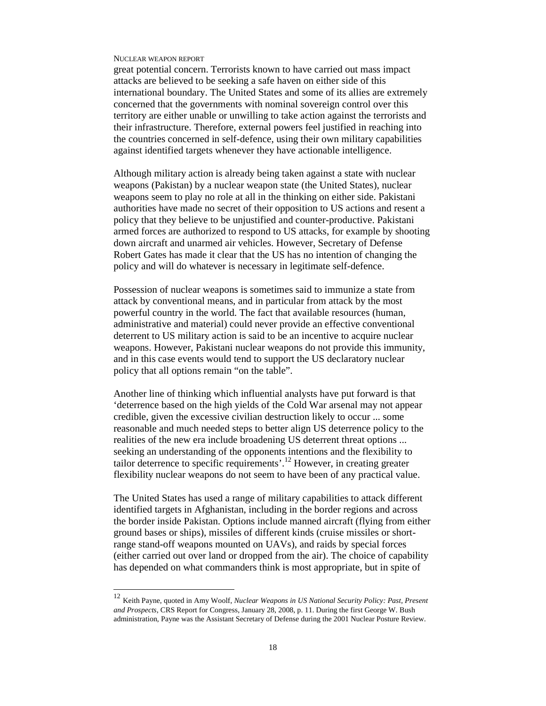-

great potential concern. Terrorists known to have carried out mass impact attacks are believed to be seeking a safe haven on either side of this international boundary. The United States and some of its allies are extremely concerned that the governments with nominal sovereign control over this territory are either unable or unwilling to take action against the terrorists and their infrastructure. Therefore, external powers feel justified in reaching into the countries concerned in self-defence, using their own military capabilities against identified targets whenever they have actionable intelligence.

Although military action is already being taken against a state with nuclear weapons (Pakistan) by a nuclear weapon state (the United States), nuclear weapons seem to play no role at all in the thinking on either side. Pakistani authorities have made no secret of their opposition to US actions and resent a policy that they believe to be unjustified and counter-productive. Pakistani armed forces are authorized to respond to US attacks, for example by shooting down aircraft and unarmed air vehicles. However, Secretary of Defense Robert Gates has made it clear that the US has no intention of changing the policy and will do whatever is necessary in legitimate self-defence.

Possession of nuclear weapons is sometimes said to immunize a state from attack by conventional means, and in particular from attack by the most powerful country in the world. The fact that available resources (human, administrative and material) could never provide an effective conventional deterrent to US military action is said to be an incentive to acquire nuclear weapons. However, Pakistani nuclear weapons do not provide this immunity, and in this case events would tend to support the US declaratory nuclear policy that all options remain "on the table".

Another line of thinking which influential analysts have put forward is that 'deterrence based on the high yields of the Cold War arsenal may not appear credible, given the excessive civilian destruction likely to occur ... some reasonable and much needed steps to better align US deterrence policy to the realities of the new era include broadening US deterrent threat options ... seeking an understanding of the opponents intentions and the flexibility to tailor deterrence to specific requirements'.<sup>12</sup> However, in creating greater flexibility nuclear weapons do not seem to have been of any practical value.

The United States has used a range of military capabilities to attack different identified targets in Afghanistan, including in the border regions and across the border inside Pakistan. Options include manned aircraft (flying from either ground bases or ships), missiles of different kinds (cruise missiles or shortrange stand-off weapons mounted on UAVs), and raids by special forces (either carried out over land or dropped from the air). The choice of capability has depended on what commanders think is most appropriate, but in spite of

<sup>12</sup> Keith Payne, quoted in Amy Woolf, *Nuclear Weapons in US National Security Policy: Past, Present and Prospects*, CRS Report for Congress, January 28, 2008, p. 11. During the first George W. Bush administration, Payne was the Assistant Secretary of Defense during the 2001 Nuclear Posture Review.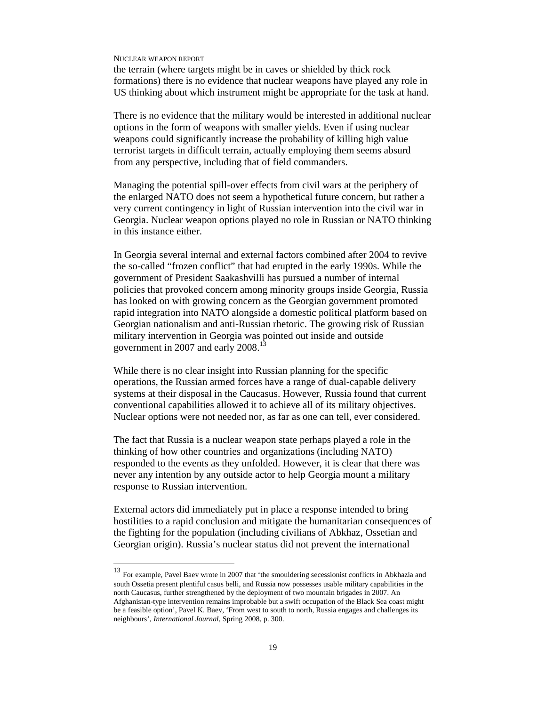-

the terrain (where targets might be in caves or shielded by thick rock formations) there is no evidence that nuclear weapons have played any role in US thinking about which instrument might be appropriate for the task at hand.

There is no evidence that the military would be interested in additional nuclear options in the form of weapons with smaller yields. Even if using nuclear weapons could significantly increase the probability of killing high value terrorist targets in difficult terrain, actually employing them seems absurd from any perspective, including that of field commanders.

Managing the potential spill-over effects from civil wars at the periphery of the enlarged NATO does not seem a hypothetical future concern, but rather a very current contingency in light of Russian intervention into the civil war in Georgia. Nuclear weapon options played no role in Russian or NATO thinking in this instance either.

In Georgia several internal and external factors combined after 2004 to revive the so-called "frozen conflict" that had erupted in the early 1990s. While the government of President Saakashvilli has pursued a number of internal policies that provoked concern among minority groups inside Georgia, Russia has looked on with growing concern as the Georgian government promoted rapid integration into NATO alongside a domestic political platform based on Georgian nationalism and anti-Russian rhetoric. The growing risk of Russian military intervention in Georgia was pointed out inside and outside government in 2007 and early 2008.<sup>13</sup>

While there is no clear insight into Russian planning for the specific operations, the Russian armed forces have a range of dual-capable delivery systems at their disposal in the Caucasus. However, Russia found that current conventional capabilities allowed it to achieve all of its military objectives. Nuclear options were not needed nor, as far as one can tell, ever considered.

The fact that Russia is a nuclear weapon state perhaps played a role in the thinking of how other countries and organizations (including NATO) responded to the events as they unfolded. However, it is clear that there was never any intention by any outside actor to help Georgia mount a military response to Russian intervention.

External actors did immediately put in place a response intended to bring hostilities to a rapid conclusion and mitigate the humanitarian consequences of the fighting for the population (including civilians of Abkhaz, Ossetian and Georgian origin). Russia's nuclear status did not prevent the international

<sup>13</sup> For example, Pavel Baev wrote in 2007 that 'the smouldering secessionist conflicts in Abkhazia and south Ossetia present plentiful casus belli, and Russia now possesses usable military capabilities in the north Caucasus, further strengthened by the deployment of two mountain brigades in 2007. An Afghanistan-type intervention remains improbable but a swift occupation of the Black Sea coast might be a feasible option', Pavel K. Baev, 'From west to south to north, Russia engages and challenges its neighbours', *International Journal*, Spring 2008, p. 300.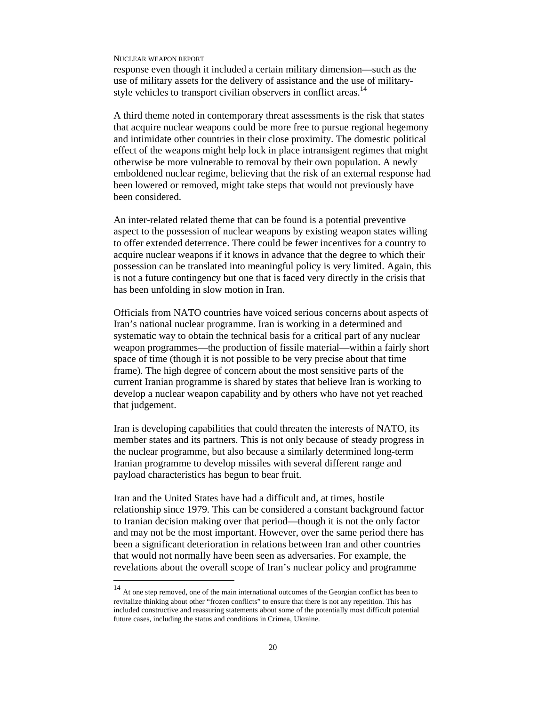-

response even though it included a certain military dimension—such as the use of military assets for the delivery of assistance and the use of militarystyle vehicles to transport civilian observers in conflict areas.<sup>14</sup>

A third theme noted in contemporary threat assessments is the risk that states that acquire nuclear weapons could be more free to pursue regional hegemony and intimidate other countries in their close proximity. The domestic political effect of the weapons might help lock in place intransigent regimes that might otherwise be more vulnerable to removal by their own population. A newly emboldened nuclear regime, believing that the risk of an external response had been lowered or removed, might take steps that would not previously have been considered.

An inter-related related theme that can be found is a potential preventive aspect to the possession of nuclear weapons by existing weapon states willing to offer extended deterrence. There could be fewer incentives for a country to acquire nuclear weapons if it knows in advance that the degree to which their possession can be translated into meaningful policy is very limited. Again, this is not a future contingency but one that is faced very directly in the crisis that has been unfolding in slow motion in Iran.

Officials from NATO countries have voiced serious concerns about aspects of Iran's national nuclear programme. Iran is working in a determined and systematic way to obtain the technical basis for a critical part of any nuclear weapon programmes—the production of fissile material—within a fairly short space of time (though it is not possible to be very precise about that time frame). The high degree of concern about the most sensitive parts of the current Iranian programme is shared by states that believe Iran is working to develop a nuclear weapon capability and by others who have not yet reached that judgement.

Iran is developing capabilities that could threaten the interests of NATO, its member states and its partners. This is not only because of steady progress in the nuclear programme, but also because a similarly determined long-term Iranian programme to develop missiles with several different range and payload characteristics has begun to bear fruit.

Iran and the United States have had a difficult and, at times, hostile relationship since 1979. This can be considered a constant background factor to Iranian decision making over that period—though it is not the only factor and may not be the most important. However, over the same period there has been a significant deterioration in relations between Iran and other countries that would not normally have been seen as adversaries. For example, the revelations about the overall scope of Iran's nuclear policy and programme

<sup>14</sup> At one step removed, one of the main international outcomes of the Georgian conflict has been to revitalize thinking about other "frozen conflicts" to ensure that there is not any repetition. This has included constructive and reassuring statements about some of the potentially most difficult potential future cases, including the status and conditions in Crimea, Ukraine.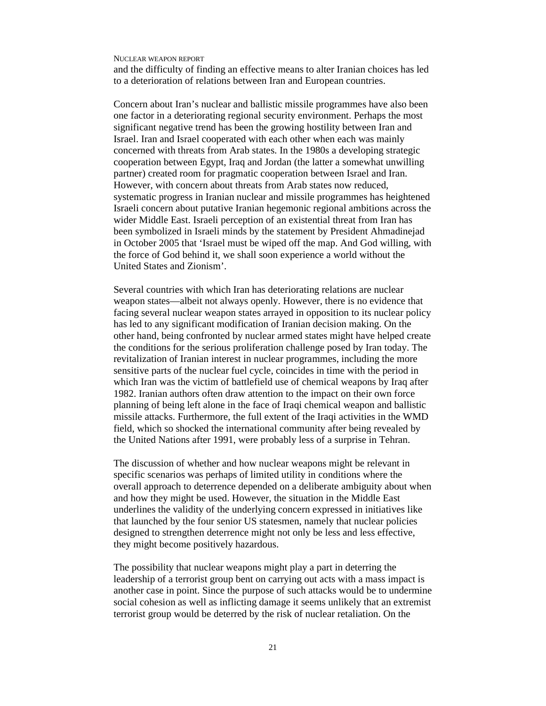and the difficulty of finding an effective means to alter Iranian choices has led to a deterioration of relations between Iran and European countries.

Concern about Iran's nuclear and ballistic missile programmes have also been one factor in a deteriorating regional security environment. Perhaps the most significant negative trend has been the growing hostility between Iran and Israel. Iran and Israel cooperated with each other when each was mainly concerned with threats from Arab states. In the 1980s a developing strategic cooperation between Egypt, Iraq and Jordan (the latter a somewhat unwilling partner) created room for pragmatic cooperation between Israel and Iran. However, with concern about threats from Arab states now reduced, systematic progress in Iranian nuclear and missile programmes has heightened Israeli concern about putative Iranian hegemonic regional ambitions across the wider Middle East. Israeli perception of an existential threat from Iran has been symbolized in Israeli minds by the statement by President Ahmadinejad in October 2005 that 'Israel must be wiped off the map. And God willing, with the force of God behind it, we shall soon experience a world without the United States and Zionism'.

Several countries with which Iran has deteriorating relations are nuclear weapon states—albeit not always openly. However, there is no evidence that facing several nuclear weapon states arrayed in opposition to its nuclear policy has led to any significant modification of Iranian decision making. On the other hand, being confronted by nuclear armed states might have helped create the conditions for the serious proliferation challenge posed by Iran today. The revitalization of Iranian interest in nuclear programmes, including the more sensitive parts of the nuclear fuel cycle, coincides in time with the period in which Iran was the victim of battlefield use of chemical weapons by Iraq after 1982. Iranian authors often draw attention to the impact on their own force planning of being left alone in the face of Iraqi chemical weapon and ballistic missile attacks. Furthermore, the full extent of the Iraqi activities in the WMD field, which so shocked the international community after being revealed by the United Nations after 1991, were probably less of a surprise in Tehran.

The discussion of whether and how nuclear weapons might be relevant in specific scenarios was perhaps of limited utility in conditions where the overall approach to deterrence depended on a deliberate ambiguity about when and how they might be used. However, the situation in the Middle East underlines the validity of the underlying concern expressed in initiatives like that launched by the four senior US statesmen, namely that nuclear policies designed to strengthen deterrence might not only be less and less effective, they might become positively hazardous.

The possibility that nuclear weapons might play a part in deterring the leadership of a terrorist group bent on carrying out acts with a mass impact is another case in point. Since the purpose of such attacks would be to undermine social cohesion as well as inflicting damage it seems unlikely that an extremist terrorist group would be deterred by the risk of nuclear retaliation. On the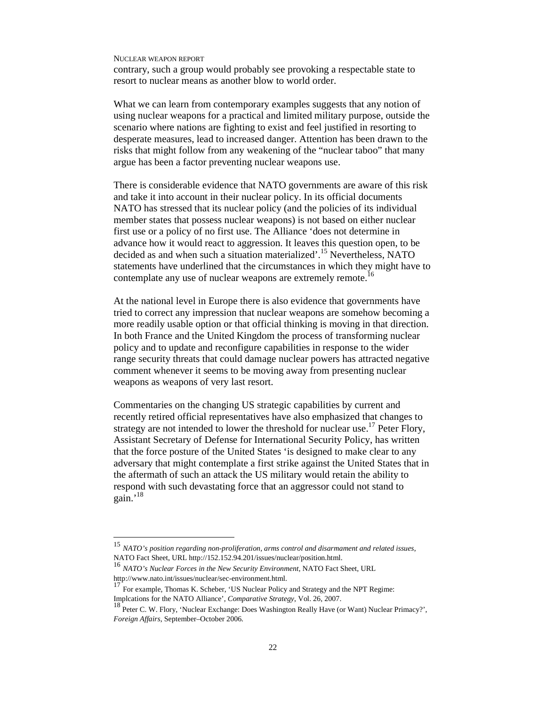contrary, such a group would probably see provoking a respectable state to resort to nuclear means as another blow to world order.

What we can learn from contemporary examples suggests that any notion of using nuclear weapons for a practical and limited military purpose, outside the scenario where nations are fighting to exist and feel justified in resorting to desperate measures, lead to increased danger. Attention has been drawn to the risks that might follow from any weakening of the "nuclear taboo" that many argue has been a factor preventing nuclear weapons use.

There is considerable evidence that NATO governments are aware of this risk and take it into account in their nuclear policy. In its official documents NATO has stressed that its nuclear policy (and the policies of its individual member states that possess nuclear weapons) is not based on either nuclear first use or a policy of no first use. The Alliance 'does not determine in advance how it would react to aggression. It leaves this question open, to be decided as and when such a situation materialized'.<sup>15</sup> Nevertheless, NATO statements have underlined that the circumstances in which they might have to contemplate any use of nuclear weapons are extremely remote.<sup>16</sup>

At the national level in Europe there is also evidence that governments have tried to correct any impression that nuclear weapons are somehow becoming a more readily usable option or that official thinking is moving in that direction. In both France and the United Kingdom the process of transforming nuclear policy and to update and reconfigure capabilities in response to the wider range security threats that could damage nuclear powers has attracted negative comment whenever it seems to be moving away from presenting nuclear weapons as weapons of very last resort.

Commentaries on the changing US strategic capabilities by current and recently retired official representatives have also emphasized that changes to strategy are not intended to lower the threshold for nuclear use.<sup>17</sup> Peter Flory, Assistant Secretary of Defense for International Security Policy, has written that the force posture of the United States 'is designed to make clear to any adversary that might contemplate a first strike against the United States that in the aftermath of such an attack the US military would retain the ability to respond with such devastating force that an aggressor could not stand to gain.'<sup>18</sup>

 $15\,$ <sup>15</sup> *NATO's position regarding non-proliferation, arms control and disarmament and related issues*, NATO Fact Sheet, URL http://152.152.94.201/issues/nuclear/position.html.

<sup>16</sup> *NATO's Nuclear Forces in the New Security Environment*, NATO Fact Sheet, URL http://www.nato.int/issues/nuclear/sec-environment.html.

<sup>17</sup> For example, Thomas K. Scheber, 'US Nuclear Policy and Strategy and the NPT Regime: Implcations for the NATO Alliance', *Comparative Strategy*, Vol. 26, 2007.

<sup>18</sup> Peter C. W. Flory, 'Nuclear Exchange: Does Washington Really Have (or Want) Nuclear Primacy?', *Foreign Affairs*, September–October 2006.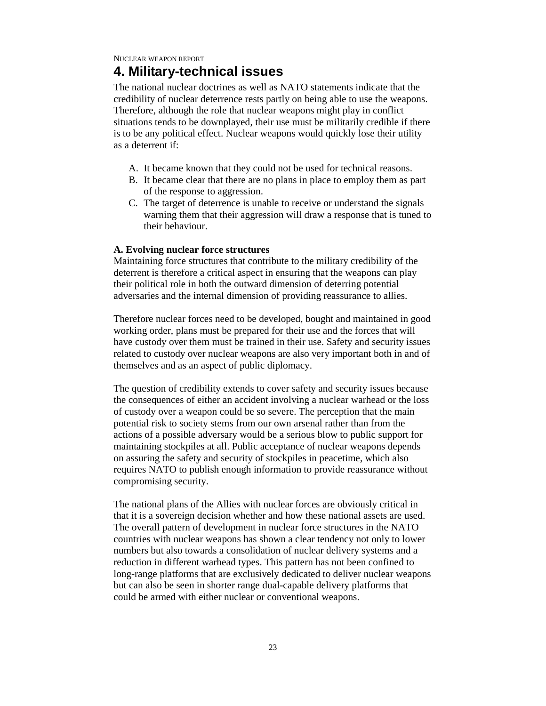# **4. Military-technical issues**

The national nuclear doctrines as well as NATO statements indicate that the credibility of nuclear deterrence rests partly on being able to use the weapons. Therefore, although the role that nuclear weapons might play in conflict situations tends to be downplayed, their use must be militarily credible if there is to be any political effect. Nuclear weapons would quickly lose their utility as a deterrent if:

- A. It became known that they could not be used for technical reasons.
- B. It became clear that there are no plans in place to employ them as part of the response to aggression.
- C. The target of deterrence is unable to receive or understand the signals warning them that their aggression will draw a response that is tuned to their behaviour.

### **A. Evolving nuclear force structures**

Maintaining force structures that contribute to the military credibility of the deterrent is therefore a critical aspect in ensuring that the weapons can play their political role in both the outward dimension of deterring potential adversaries and the internal dimension of providing reassurance to allies.

Therefore nuclear forces need to be developed, bought and maintained in good working order, plans must be prepared for their use and the forces that will have custody over them must be trained in their use. Safety and security issues related to custody over nuclear weapons are also very important both in and of themselves and as an aspect of public diplomacy.

The question of credibility extends to cover safety and security issues because the consequences of either an accident involving a nuclear warhead or the loss of custody over a weapon could be so severe. The perception that the main potential risk to society stems from our own arsenal rather than from the actions of a possible adversary would be a serious blow to public support for maintaining stockpiles at all. Public acceptance of nuclear weapons depends on assuring the safety and security of stockpiles in peacetime, which also requires NATO to publish enough information to provide reassurance without compromising security.

The national plans of the Allies with nuclear forces are obviously critical in that it is a sovereign decision whether and how these national assets are used. The overall pattern of development in nuclear force structures in the NATO countries with nuclear weapons has shown a clear tendency not only to lower numbers but also towards a consolidation of nuclear delivery systems and a reduction in different warhead types. This pattern has not been confined to long-range platforms that are exclusively dedicated to deliver nuclear weapons but can also be seen in shorter range dual-capable delivery platforms that could be armed with either nuclear or conventional weapons.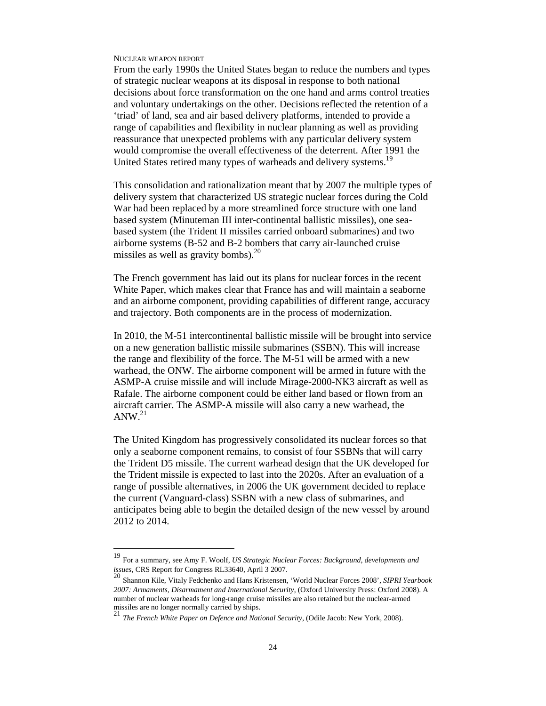-

From the early 1990s the United States began to reduce the numbers and types of strategic nuclear weapons at its disposal in response to both national decisions about force transformation on the one hand and arms control treaties and voluntary undertakings on the other. Decisions reflected the retention of a 'triad' of land, sea and air based delivery platforms, intended to provide a range of capabilities and flexibility in nuclear planning as well as providing reassurance that unexpected problems with any particular delivery system would compromise the overall effectiveness of the deterrent. After 1991 the United States retired many types of warheads and delivery systems.<sup>19</sup>

This consolidation and rationalization meant that by 2007 the multiple types of delivery system that characterized US strategic nuclear forces during the Cold War had been replaced by a more streamlined force structure with one land based system (Minuteman III inter-continental ballistic missiles), one seabased system (the Trident II missiles carried onboard submarines) and two airborne systems (B-52 and B-2 bombers that carry air-launched cruise missiles as well as gravity bombs). $^{20}$ 

The French government has laid out its plans for nuclear forces in the recent White Paper, which makes clear that France has and will maintain a seaborne and an airborne component, providing capabilities of different range, accuracy and trajectory. Both components are in the process of modernization.

In 2010, the M-51 intercontinental ballistic missile will be brought into service on a new generation ballistic missile submarines (SSBN). This will increase the range and flexibility of the force. The M-51 will be armed with a new warhead, the ONW. The airborne component will be armed in future with the ASMP-A cruise missile and will include Mirage-2000-NK3 aircraft as well as Rafale. The airborne component could be either land based or flown from an aircraft carrier. The ASMP-A missile will also carry a new warhead, the  $ANW.<sup>21</sup>$ 

The United Kingdom has progressively consolidated its nuclear forces so that only a seaborne component remains, to consist of four SSBNs that will carry the Trident D5 missile. The current warhead design that the UK developed for the Trident missile is expected to last into the 2020s. After an evaluation of a range of possible alternatives, in 2006 the UK government decided to replace the current (Vanguard-class) SSBN with a new class of submarines, and anticipates being able to begin the detailed design of the new vessel by around 2012 to 2014.

<sup>19</sup> For a summary, see Amy F. Woolf, *US Strategic Nuclear Forces: Background, developments and issues*, CRS Report for Congress RL33640, April 3 2007. <sup>20</sup> Shannon Kile, Vitaly Fedchenko and Hans Kristensen, 'World Nuclear Forces 2008', *SIPRI Yearbook* 

*<sup>2007:</sup> Armaments, Disarmament and International Security*, (Oxford University Press: Oxford 2008). A number of nuclear warheads for long-range cruise missiles are also retained but the nuclear-armed missiles are no longer normally carried by ships.<br>21 min s

<sup>21</sup> *The French White Paper on Defence and National Security*, (Odile Jacob: New York, 2008).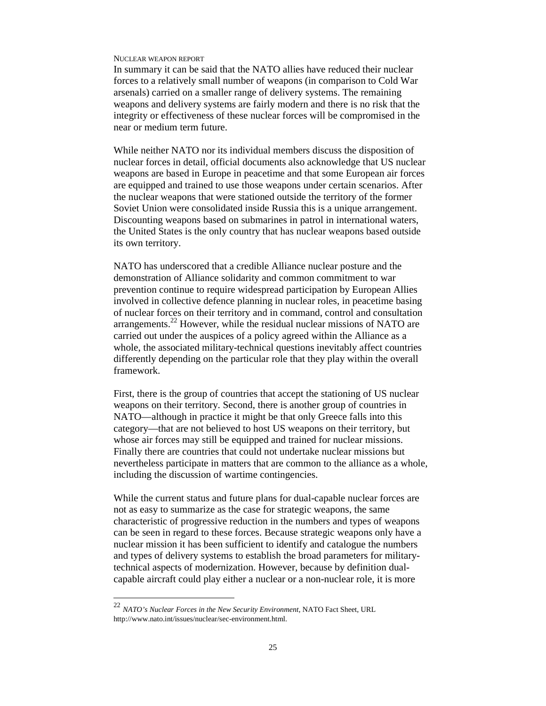In summary it can be said that the NATO allies have reduced their nuclear forces to a relatively small number of weapons (in comparison to Cold War arsenals) carried on a smaller range of delivery systems. The remaining weapons and delivery systems are fairly modern and there is no risk that the integrity or effectiveness of these nuclear forces will be compromised in the near or medium term future.

While neither NATO nor its individual members discuss the disposition of nuclear forces in detail, official documents also acknowledge that US nuclear weapons are based in Europe in peacetime and that some European air forces are equipped and trained to use those weapons under certain scenarios. After the nuclear weapons that were stationed outside the territory of the former Soviet Union were consolidated inside Russia this is a unique arrangement. Discounting weapons based on submarines in patrol in international waters, the United States is the only country that has nuclear weapons based outside its own territory.

NATO has underscored that a credible Alliance nuclear posture and the demonstration of Alliance solidarity and common commitment to war prevention continue to require widespread participation by European Allies involved in collective defence planning in nuclear roles, in peacetime basing of nuclear forces on their territory and in command, control and consultation arrangements.<sup>22</sup> However, while the residual nuclear missions of NATO are carried out under the auspices of a policy agreed within the Alliance as a whole, the associated military-technical questions inevitably affect countries differently depending on the particular role that they play within the overall framework.

First, there is the group of countries that accept the stationing of US nuclear weapons on their territory. Second, there is another group of countries in NATO—although in practice it might be that only Greece falls into this category—that are not believed to host US weapons on their territory, but whose air forces may still be equipped and trained for nuclear missions. Finally there are countries that could not undertake nuclear missions but nevertheless participate in matters that are common to the alliance as a whole, including the discussion of wartime contingencies.

While the current status and future plans for dual-capable nuclear forces are not as easy to summarize as the case for strategic weapons, the same characteristic of progressive reduction in the numbers and types of weapons can be seen in regard to these forces. Because strategic weapons only have a nuclear mission it has been sufficient to identify and catalogue the numbers and types of delivery systems to establish the broad parameters for militarytechnical aspects of modernization. However, because by definition dualcapable aircraft could play either a nuclear or a non-nuclear role, it is more

<sup>22</sup> *NATO's Nuclear Forces in the New Security Environment*, NATO Fact Sheet, URL http://www.nato.int/issues/nuclear/sec-environment.html.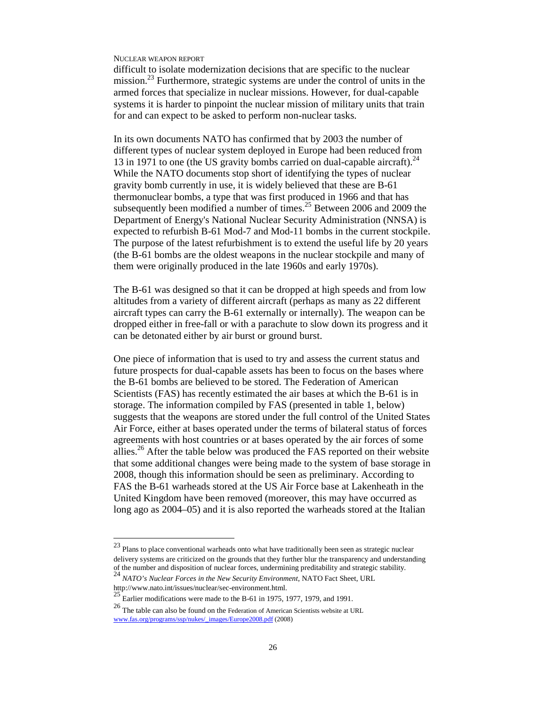difficult to isolate modernization decisions that are specific to the nuclear mission.<sup>23</sup> Furthermore, strategic systems are under the control of units in the armed forces that specialize in nuclear missions. However, for dual-capable systems it is harder to pinpoint the nuclear mission of military units that train for and can expect to be asked to perform non-nuclear tasks.

In its own documents NATO has confirmed that by 2003 the number of different types of nuclear system deployed in Europe had been reduced from 13 in 1971 to one (the US gravity bombs carried on dual-capable aircraft).<sup>24</sup> While the NATO documents stop short of identifying the types of nuclear gravity bomb currently in use, it is widely believed that these are B-61 thermonuclear bombs, a type that was first produced in 1966 and that has subsequently been modified a number of times.<sup>25</sup> Between 2006 and 2009 the Department of Energy's National Nuclear Security Administration (NNSA) is expected to refurbish B-61 Mod-7 and Mod-11 bombs in the current stockpile. The purpose of the latest refurbishment is to extend the useful life by 20 years (the B-61 bombs are the oldest weapons in the nuclear stockpile and many of them were originally produced in the late 1960s and early 1970s).

The B-61 was designed so that it can be dropped at high speeds and from low altitudes from a variety of different aircraft (perhaps as many as 22 different aircraft types can carry the B-61 externally or internally). The weapon can be dropped either in free-fall or with a parachute to slow down its progress and it can be detonated either by air burst or ground burst.

One piece of information that is used to try and assess the current status and future prospects for dual-capable assets has been to focus on the bases where the B-61 bombs are believed to be stored. The Federation of American Scientists (FAS) has recently estimated the air bases at which the B-61 is in storage. The information compiled by FAS (presented in table 1, below) suggests that the weapons are stored under the full control of the United States Air Force, either at bases operated under the terms of bilateral status of forces agreements with host countries or at bases operated by the air forces of some allies.<sup>26</sup> After the table below was produced the FAS reported on their website that some additional changes were being made to the system of base storage in 2008, though this information should be seen as preliminary. According to FAS the B-61 warheads stored at the US Air Force base at Lakenheath in the United Kingdom have been removed (moreover, this may have occurred as long ago as 2004–05) and it is also reported the warheads stored at the Italian

 $23$  Plans to place conventional warheads onto what have traditionally been seen as strategic nuclear delivery systems are criticized on the grounds that they further blur the transparency and understanding of the number and disposition of nuclear forces, undermining preditability and strategic stability. <sup>24</sup> *NATO's Nuclear Forces in the New Security Environment*, NATO Fact Sheet, URL

http://www.nato.int/issues/nuclear/sec-environment.html.

 $25^{25}$  Earlier modifications were made to the B-61 in 1975, 1977, 1979, and 1991.

 $^{26}$  The table can also be found on the Federation of American Scientists website at URL  $\,$ www.fas.org/programs/ssp/nukes/\_images/Europe2008.pdf (2008)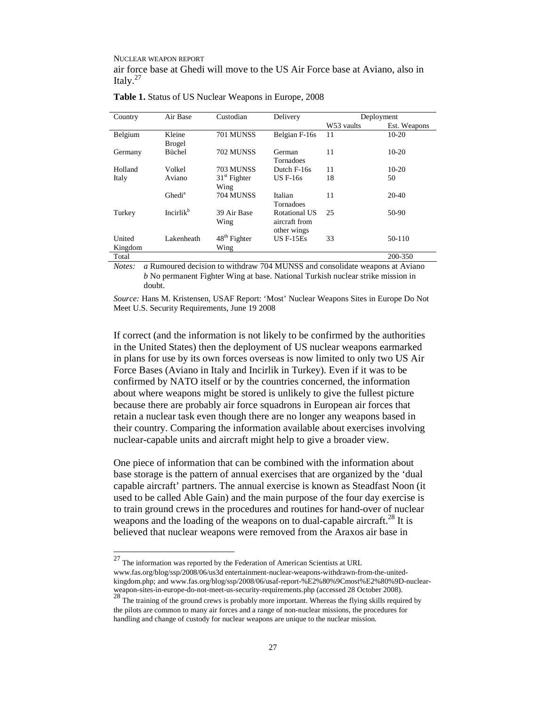NUCLEAR WEAPON REPORT air force base at Ghedi will move to the US Air Force base at Aviano, also in Italy. $27$ 

| Country | Air Base              | Custodian                | Delivery      | Deployment |              |
|---------|-----------------------|--------------------------|---------------|------------|--------------|
|         |                       |                          |               | W53 vaults | Est. Weapons |
| Belgium | Kleine                | 701 MUNSS                | Belgian F-16s | 11         | $10-20$      |
|         | <b>Brogel</b>         |                          |               |            |              |
| Germany | Büchel                | 702 MUNSS                | German        | 11         | $10-20$      |
|         |                       |                          | Tornadoes     |            |              |
| Holland | Volkel                | 703 MUNSS                | Dutch F-16s   | 11         | $10-20$      |
| Italy   | Aviano                | $31st$ Fighter           | $US F-16s$    | 18         | 50           |
|         |                       | Wing                     |               |            |              |
|         | Ghedi <sup>a</sup>    | 704 MUNSS                | Italian       | 11         | $20-40$      |
|         |                       |                          | Tornadoes     |            |              |
| Turkey  | Incirlik <sup>b</sup> | 39 Air Base              | Rotational US | 25         | 50-90        |
|         |                       | Wing                     | aircraft from |            |              |
|         |                       |                          | other wings   |            |              |
| United  | Lakenheath            | 48 <sup>th</sup> Fighter | $US F-15Es$   | 33         | 50-110       |
| Kingdom |                       | Wing                     |               |            |              |
| Total   |                       |                          |               |            | 200-350      |

**Table 1.** Status of US Nuclear Weapons in Europe, 2008

*Notes: a* Rumoured decision to withdraw 704 MUNSS and consolidate weapons at Aviano *b* No permanent Fighter Wing at base. National Turkish nuclear strike mission in doubt.

*Source:* Hans M. Kristensen, USAF Report: 'Most' Nuclear Weapons Sites in Europe Do Not Meet U.S. Security Requirements, June 19 2008

If correct (and the information is not likely to be confirmed by the authorities in the United States) then the deployment of US nuclear weapons earmarked in plans for use by its own forces overseas is now limited to only two US Air Force Bases (Aviano in Italy and Incirlik in Turkey). Even if it was to be confirmed by NATO itself or by the countries concerned, the information about where weapons might be stored is unlikely to give the fullest picture because there are probably air force squadrons in European air forces that retain a nuclear task even though there are no longer any weapons based in their country. Comparing the information available about exercises involving nuclear-capable units and aircraft might help to give a broader view.

One piece of information that can be combined with the information about base storage is the pattern of annual exercises that are organized by the 'dual capable aircraft' partners. The annual exercise is known as Steadfast Noon (it used to be called Able Gain) and the main purpose of the four day exercise is to train ground crews in the procedures and routines for hand-over of nuclear weapons and the loading of the weapons on to dual-capable aircraft.<sup>28</sup> It is believed that nuclear weapons were removed from the Araxos air base in

 $27$  The information was reported by the Federation of American Scientists at URL www.fas.org/blog/ssp/2008/06/us3d entertainment-nuclear-weapons-withdrawn-from-the-unitedkingdom.php; and www.fas.org/blog/ssp/2008/06/usaf-report-%E2%80%9Cmost%E2%80%9D-nuclear-

weapon-sites-in-europe-do-not-meet-us-security-requirements.php (accessed 28 October 2008).<br><sup>28</sup> The training of the ground crews is probably more important. Whereas the flying skills required by the pilots are common to many air forces and a range of non-nuclear missions, the procedures for handling and change of custody for nuclear weapons are unique to the nuclear mission.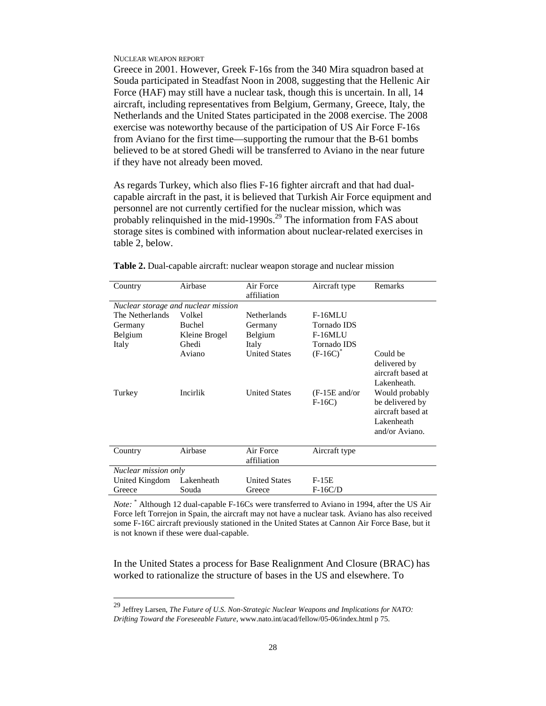-

Greece in 2001. However, Greek F-16s from the 340 Mira squadron based at Souda participated in Steadfast Noon in 2008, suggesting that the Hellenic Air Force (HAF) may still have a nuclear task, though this is uncertain. In all, 14 aircraft, including representatives from Belgium, Germany, Greece, Italy, the Netherlands and the United States participated in the 2008 exercise. The 2008 exercise was noteworthy because of the participation of US Air Force F-16s from Aviano for the first time—supporting the rumour that the B-61 bombs believed to be at stored Ghedi will be transferred to Aviano in the near future if they have not already been moved.

As regards Turkey, which also flies F-16 fighter aircraft and that had dualcapable aircraft in the past, it is believed that Turkish Air Force equipment and personnel are not currently certified for the nuclear mission, which was probably relinquished in the mid-1990s.<sup>29</sup> The information from FAS about storage sites is combined with information about nuclear-related exercises in table 2, below.

| Country                             | Airbase       | Air Force<br>affiliation | Aircraft type              | Remarks                                                                                |  |  |  |  |
|-------------------------------------|---------------|--------------------------|----------------------------|----------------------------------------------------------------------------------------|--|--|--|--|
| Nuclear storage and nuclear mission |               |                          |                            |                                                                                        |  |  |  |  |
| The Netherlands                     | Volkel        | <b>Netherlands</b>       | $F-16MLU$                  |                                                                                        |  |  |  |  |
| Germany                             | Buchel        | Germany                  | Tornado IDS                |                                                                                        |  |  |  |  |
| Belgium                             | Kleine Brogel | Belgium                  | F-16MLU                    |                                                                                        |  |  |  |  |
| Italy                               | Ghedi         | Italy                    | Tornado IDS                |                                                                                        |  |  |  |  |
|                                     | Aviano        | <b>United States</b>     | $(F-16C)^*$                | Could be<br>delivered by<br>aircraft based at<br>Lakenheath.                           |  |  |  |  |
| Turkey                              | Incirlik      | <b>United States</b>     | $(F-15E$ and/or<br>$F-16C$ | Would probably<br>be delivered by<br>aircraft based at<br>Lakenheath<br>and/or Aviano. |  |  |  |  |
| Country                             | Airbase       | Air Force<br>affiliation | Aircraft type              |                                                                                        |  |  |  |  |
| Nuclear mission only                |               |                          |                            |                                                                                        |  |  |  |  |
| United Kingdom                      | Lakenheath    | <b>United States</b>     | $F-15E$                    |                                                                                        |  |  |  |  |
| Greece                              | Souda         | Greece                   | $F-16C/D$                  |                                                                                        |  |  |  |  |

**Table 2.** Dual-capable aircraft: nuclear weapon storage and nuclear mission

*Note:* \* Although 12 dual-capable F-16Cs were transferred to Aviano in 1994, after the US Air Force left Torrejon in Spain, the aircraft may not have a nuclear task. Aviano has also received some F-16C aircraft previously stationed in the United States at Cannon Air Force Base, but it is not known if these were dual-capable.

In the United States a process for Base Realignment And Closure (BRAC) has worked to rationalize the structure of bases in the US and elsewhere. To

<sup>29</sup> Jeffrey Larsen, *The Future of U.S. Non-Strategic Nuclear Weapons and Implications for NATO: Drifting Toward the Foreseeable Future*, www.nato.int/acad/fellow/05-06/index.html p 75.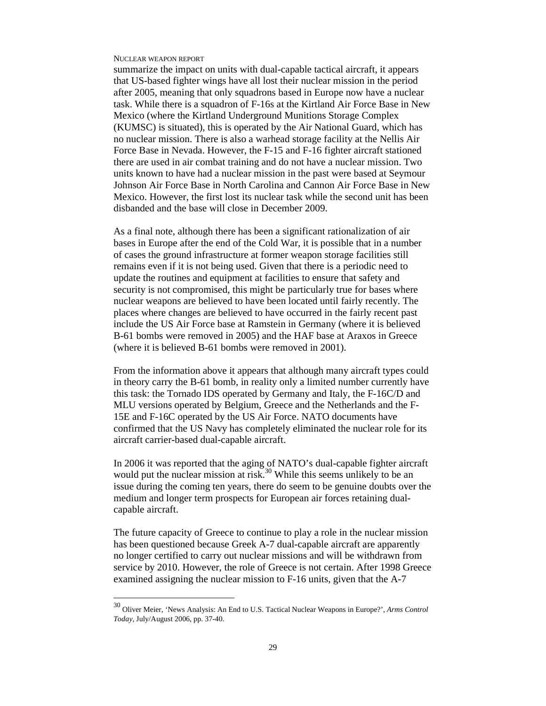-

summarize the impact on units with dual-capable tactical aircraft, it appears that US-based fighter wings have all lost their nuclear mission in the period after 2005, meaning that only squadrons based in Europe now have a nuclear task. While there is a squadron of F-16s at the Kirtland Air Force Base in New Mexico (where the Kirtland Underground Munitions Storage Complex (KUMSC) is situated), this is operated by the Air National Guard, which has no nuclear mission. There is also a warhead storage facility at the Nellis Air Force Base in Nevada. However, the F-15 and F-16 fighter aircraft stationed there are used in air combat training and do not have a nuclear mission. Two units known to have had a nuclear mission in the past were based at Seymour Johnson Air Force Base in North Carolina and Cannon Air Force Base in New Mexico. However, the first lost its nuclear task while the second unit has been disbanded and the base will close in December 2009.

As a final note, although there has been a significant rationalization of air bases in Europe after the end of the Cold War, it is possible that in a number of cases the ground infrastructure at former weapon storage facilities still remains even if it is not being used. Given that there is a periodic need to update the routines and equipment at facilities to ensure that safety and security is not compromised, this might be particularly true for bases where nuclear weapons are believed to have been located until fairly recently. The places where changes are believed to have occurred in the fairly recent past include the US Air Force base at Ramstein in Germany (where it is believed B-61 bombs were removed in 2005) and the HAF base at Araxos in Greece (where it is believed B-61 bombs were removed in 2001).

From the information above it appears that although many aircraft types could in theory carry the B-61 bomb, in reality only a limited number currently have this task: the Tornado IDS operated by Germany and Italy, the F-16C/D and MLU versions operated by Belgium, Greece and the Netherlands and the F-15E and F-16C operated by the US Air Force. NATO documents have confirmed that the US Navy has completely eliminated the nuclear role for its aircraft carrier-based dual-capable aircraft.

In 2006 it was reported that the aging of NATO's dual-capable fighter aircraft would put the nuclear mission at risk.<sup>30</sup> While this seems unlikely to be an issue during the coming ten years, there do seem to be genuine doubts over the medium and longer term prospects for European air forces retaining dualcapable aircraft.

The future capacity of Greece to continue to play a role in the nuclear mission has been questioned because Greek A-7 dual-capable aircraft are apparently no longer certified to carry out nuclear missions and will be withdrawn from service by 2010. However, the role of Greece is not certain. After 1998 Greece examined assigning the nuclear mission to F-16 units, given that the A-7

<sup>30</sup> Oliver Meier, 'News Analysis: An End to U.S. Tactical Nuclear Weapons in Europe?', *Arms Control Today*, July/August 2006, pp. 37-40.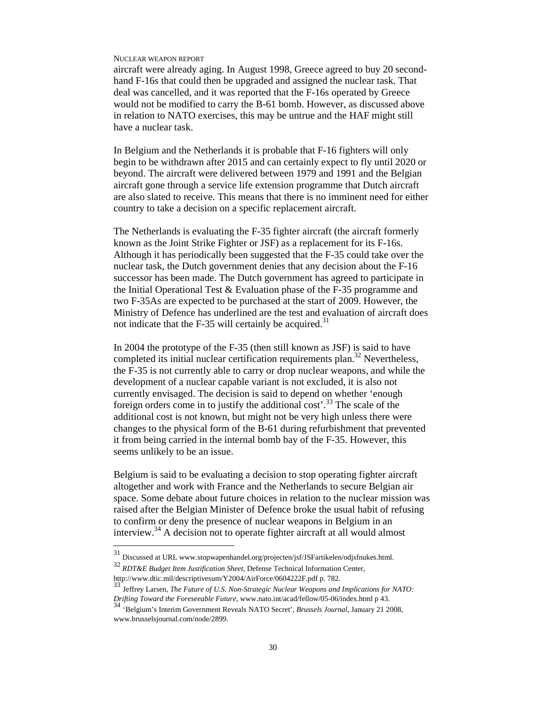aircraft were already aging. In August 1998, Greece agreed to buy 20 secondhand F-16s that could then be upgraded and assigned the nuclear task. That deal was cancelled, and it was reported that the F-16s operated by Greece would not be modified to carry the B-61 bomb. However, as discussed above in relation to NATO exercises, this may be untrue and the HAF might still have a nuclear task.

In Belgium and the Netherlands it is probable that F-16 fighters will only begin to be withdrawn after 2015 and can certainly expect to fly until 2020 or beyond. The aircraft were delivered between 1979 and 1991 and the Belgian aircraft gone through a service life extension programme that Dutch aircraft are also slated to receive. This means that there is no imminent need for either country to take a decision on a specific replacement aircraft.

The Netherlands is evaluating the F-35 fighter aircraft (the aircraft formerly known as the Joint Strike Fighter or JSF) as a replacement for its F-16s. Although it has periodically been suggested that the F-35 could take over the nuclear task, the Dutch government denies that any decision about the F-16 successor has been made. The Dutch government has agreed to participate in the Initial Operational Test & Evaluation phase of the F-35 programme and two F-35As are expected to be purchased at the start of 2009. However, the Ministry of Defence has underlined are the test and evaluation of aircraft does not indicate that the F-35 will certainly be acquired.<sup>31</sup>

In 2004 the prototype of the F-35 (then still known as JSF) is said to have completed its initial nuclear certification requirements plan.<sup>32</sup> Nevertheless, the F-35 is not currently able to carry or drop nuclear weapons, and while the development of a nuclear capable variant is not excluded, it is also not currently envisaged. The decision is said to depend on whether 'enough foreign orders come in to justify the additional cost'.<sup>33</sup> The scale of the additional cost is not known, but might not be very high unless there were changes to the physical form of the B-61 during refurbishment that prevented it from being carried in the internal bomb bay of the F-35. However, this seems unlikely to be an issue.

Belgium is said to be evaluating a decision to stop operating fighter aircraft altogether and work with France and the Netherlands to secure Belgian air space. Some debate about future choices in relation to the nuclear mission was raised after the Belgian Minister of Defence broke the usual habit of refusing to confirm or deny the presence of nuclear weapons in Belgium in an interview.<sup>34</sup> A decision not to operate fighter aircraft at all would almost

<sup>31</sup> Discussed at URL www.stopwapenhandel.org/projecten/jsf/JSFartikelen/odjsfnukes.html.

<sup>32</sup> *RDT&E Budget Item Justification Sheet*, Defense Technical Information Center, http://www.dtic.mil/descriptivesum/Y2004/AirForce/0604222F.pdf p. 782.

<sup>33</sup> Jeffrey Larsen, *The Future of U.S. Non-Strategic Nuclear Weapons and Implications for NATO: Drifting Toward the Foreseeable Future*, www.nato.int/acad/fellow/05-06/index.html p 43. <sup>34</sup> 'Belgium's Interim Government Reveals NATO Secret', *Brussels Journal*, January 21 2008,

www.brusselsjournal.com/node/2899.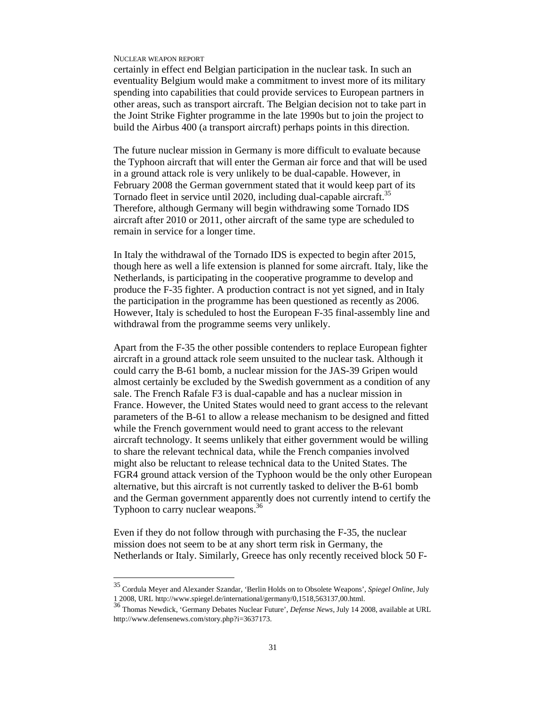-

certainly in effect end Belgian participation in the nuclear task. In such an eventuality Belgium would make a commitment to invest more of its military spending into capabilities that could provide services to European partners in other areas, such as transport aircraft. The Belgian decision not to take part in the Joint Strike Fighter programme in the late 1990s but to join the project to build the Airbus 400 (a transport aircraft) perhaps points in this direction.

The future nuclear mission in Germany is more difficult to evaluate because the Typhoon aircraft that will enter the German air force and that will be used in a ground attack role is very unlikely to be dual-capable. However, in February 2008 the German government stated that it would keep part of its Tornado fleet in service until 2020, including dual-capable aircraft.<sup>35</sup> Therefore, although Germany will begin withdrawing some Tornado IDS aircraft after 2010 or 2011, other aircraft of the same type are scheduled to remain in service for a longer time.

In Italy the withdrawal of the Tornado IDS is expected to begin after 2015, though here as well a life extension is planned for some aircraft. Italy, like the Netherlands, is participating in the cooperative programme to develop and produce the F-35 fighter. A production contract is not yet signed, and in Italy the participation in the programme has been questioned as recently as 2006. However, Italy is scheduled to host the European F-35 final-assembly line and withdrawal from the programme seems very unlikely.

Apart from the F-35 the other possible contenders to replace European fighter aircraft in a ground attack role seem unsuited to the nuclear task. Although it could carry the B-61 bomb, a nuclear mission for the JAS-39 Gripen would almost certainly be excluded by the Swedish government as a condition of any sale. The French Rafale F3 is dual-capable and has a nuclear mission in France. However, the United States would need to grant access to the relevant parameters of the B-61 to allow a release mechanism to be designed and fitted while the French government would need to grant access to the relevant aircraft technology. It seems unlikely that either government would be willing to share the relevant technical data, while the French companies involved might also be reluctant to release technical data to the United States. The FGR4 ground attack version of the Typhoon would be the only other European alternative, but this aircraft is not currently tasked to deliver the B-61 bomb and the German government apparently does not currently intend to certify the Typhoon to carry nuclear weapons.<sup>36</sup>

Even if they do not follow through with purchasing the F-35, the nuclear mission does not seem to be at any short term risk in Germany, the Netherlands or Italy. Similarly, Greece has only recently received block 50 F-

<sup>35</sup> Cordula Meyer and Alexander Szandar, 'Berlin Holds on to Obsolete Weapons', *Spiegel Online*, July 1 2008, URL http://www.spiegel.de/international/germany/0,1518,563137,00.html. <sup>36</sup> Thomas Newdick, 'Germany Debates Nuclear Future', *Defense News*, July 14 2008, available at URL

http://www.defensenews.com/story.php?i=3637173.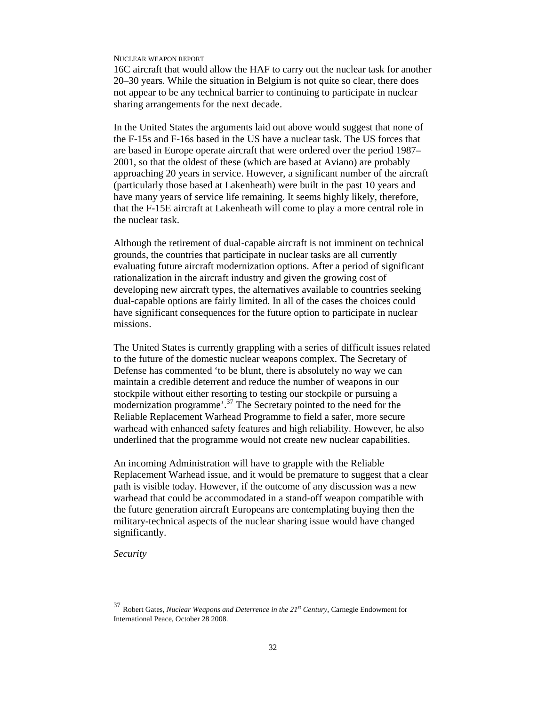16C aircraft that would allow the HAF to carry out the nuclear task for another 20–30 years. While the situation in Belgium is not quite so clear, there does not appear to be any technical barrier to continuing to participate in nuclear sharing arrangements for the next decade.

In the United States the arguments laid out above would suggest that none of the F-15s and F-16s based in the US have a nuclear task. The US forces that are based in Europe operate aircraft that were ordered over the period 1987– 2001, so that the oldest of these (which are based at Aviano) are probably approaching 20 years in service. However, a significant number of the aircraft (particularly those based at Lakenheath) were built in the past 10 years and have many years of service life remaining. It seems highly likely, therefore, that the F-15E aircraft at Lakenheath will come to play a more central role in the nuclear task.

Although the retirement of dual-capable aircraft is not imminent on technical grounds, the countries that participate in nuclear tasks are all currently evaluating future aircraft modernization options. After a period of significant rationalization in the aircraft industry and given the growing cost of developing new aircraft types, the alternatives available to countries seeking dual-capable options are fairly limited. In all of the cases the choices could have significant consequences for the future option to participate in nuclear missions.

The United States is currently grappling with a series of difficult issues related to the future of the domestic nuclear weapons complex. The Secretary of Defense has commented 'to be blunt, there is absolutely no way we can maintain a credible deterrent and reduce the number of weapons in our stockpile without either resorting to testing our stockpile or pursuing a modernization programme'.<sup>37</sup> The Secretary pointed to the need for the Reliable Replacement Warhead Programme to field a safer, more secure warhead with enhanced safety features and high reliability. However, he also underlined that the programme would not create new nuclear capabilities.

An incoming Administration will have to grapple with the Reliable Replacement Warhead issue, and it would be premature to suggest that a clear path is visible today. However, if the outcome of any discussion was a new warhead that could be accommodated in a stand-off weapon compatible with the future generation aircraft Europeans are contemplating buying then the military-technical aspects of the nuclear sharing issue would have changed significantly.

*Security* 

<sup>37</sup> Robert Gates, *Nuclear Weapons and Deterrence in the 21st Century*, Carnegie Endowment for International Peace, October 28 2008.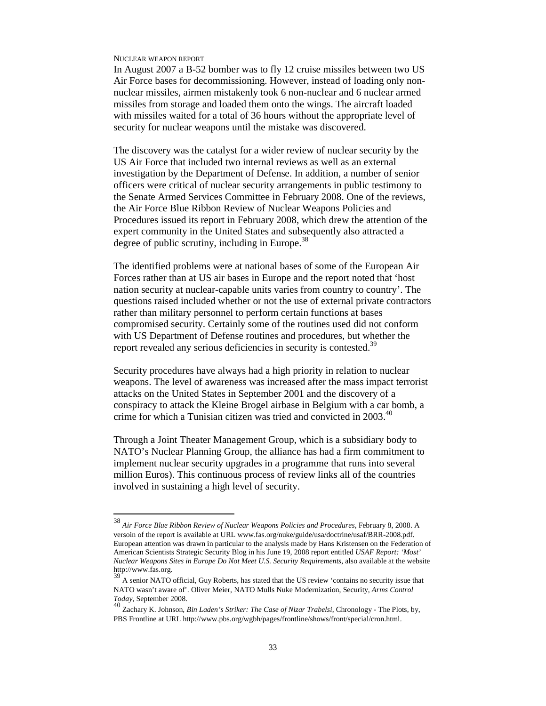-

In August 2007 a B-52 bomber was to fly 12 cruise missiles between two US Air Force bases for decommissioning. However, instead of loading only nonnuclear missiles, airmen mistakenly took 6 non-nuclear and 6 nuclear armed missiles from storage and loaded them onto the wings. The aircraft loaded with missiles waited for a total of 36 hours without the appropriate level of security for nuclear weapons until the mistake was discovered.

The discovery was the catalyst for a wider review of nuclear security by the US Air Force that included two internal reviews as well as an external investigation by the Department of Defense. In addition, a number of senior officers were critical of nuclear security arrangements in public testimony to the Senate Armed Services Committee in February 2008. One of the reviews, the Air Force Blue Ribbon Review of Nuclear Weapons Policies and Procedures issued its report in February 2008, which drew the attention of the expert community in the United States and subsequently also attracted a degree of public scrutiny, including in Europe.<sup>38</sup>

The identified problems were at national bases of some of the European Air Forces rather than at US air bases in Europe and the report noted that 'host nation security at nuclear-capable units varies from country to country'. The questions raised included whether or not the use of external private contractors rather than military personnel to perform certain functions at bases compromised security. Certainly some of the routines used did not conform with US Department of Defense routines and procedures, but whether the report revealed any serious deficiencies in security is contested.<sup>39</sup>

Security procedures have always had a high priority in relation to nuclear weapons. The level of awareness was increased after the mass impact terrorist attacks on the United States in September 2001 and the discovery of a conspiracy to attack the Kleine Brogel airbase in Belgium with a car bomb, a crime for which a Tunisian citizen was tried and convicted in 2003.<sup>40</sup>

Through a Joint Theater Management Group, which is a subsidiary body to NATO's Nuclear Planning Group, the alliance has had a firm commitment to implement nuclear security upgrades in a programme that runs into several million Euros). This continuous process of review links all of the countries involved in sustaining a high level of security.

<sup>38</sup> *Air Force Blue Ribbon Review of Nuclear Weapons Policies and Procedures*, February 8, 2008. A versoin of the report is available at URL www.fas.org/nuke/guide/usa/doctrine/usaf/BRR-2008.pdf. European attention was drawn in particular to the analysis made by Hans Kristensen on the Federation of American Scientists Strategic Security Blog in his June 19, 2008 report entitled *USAF Report: 'Most' Nuclear Weapons Sites in Europe Do Not Meet U.S. Security Requirements*, also available at the website http://www.fas.org.

<sup>39</sup> A senior NATO official, Guy Roberts, has stated that the US review 'contains no security issue that NATO wasn't aware of'. Oliver Meier, NATO Mulls Nuke Modernization, Security, *Arms Control Today*, September 2008.

<sup>40</sup> Zachary K. Johnson, *Bin Laden's Striker: The Case of Nizar Trabelsi*, Chronology - The Plots, by, PBS Frontline at URL http://www.pbs.org/wgbh/pages/frontline/shows/front/special/cron.html.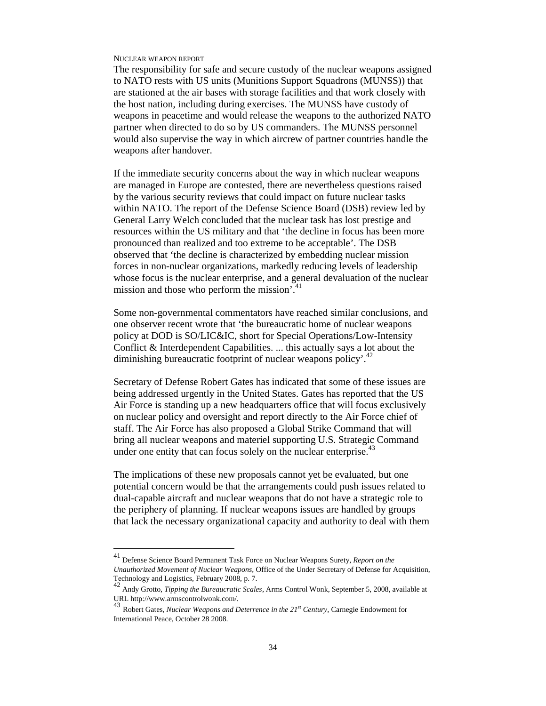-

The responsibility for safe and secure custody of the nuclear weapons assigned to NATO rests with US units (Munitions Support Squadrons (MUNSS)) that are stationed at the air bases with storage facilities and that work closely with the host nation, including during exercises. The MUNSS have custody of weapons in peacetime and would release the weapons to the authorized NATO partner when directed to do so by US commanders. The MUNSS personnel would also supervise the way in which aircrew of partner countries handle the weapons after handover.

If the immediate security concerns about the way in which nuclear weapons are managed in Europe are contested, there are nevertheless questions raised by the various security reviews that could impact on future nuclear tasks within NATO. The report of the Defense Science Board (DSB) review led by General Larry Welch concluded that the nuclear task has lost prestige and resources within the US military and that 'the decline in focus has been more pronounced than realized and too extreme to be acceptable'. The DSB observed that 'the decline is characterized by embedding nuclear mission forces in non-nuclear organizations, markedly reducing levels of leadership whose focus is the nuclear enterprise, and a general devaluation of the nuclear mission and those who perform the mission<sup>741</sup>

Some non-governmental commentators have reached similar conclusions, and one observer recent wrote that 'the bureaucratic home of nuclear weapons policy at DOD is SO/LIC&IC, short for Special Operations/Low-Intensity Conflict & Interdependent Capabilities. ... this actually says a lot about the diminishing bureaucratic footprint of nuclear weapons policy'.<sup>42</sup>

Secretary of Defense Robert Gates has indicated that some of these issues are being addressed urgently in the United States. Gates has reported that the US Air Force is standing up a new headquarters office that will focus exclusively on nuclear policy and oversight and report directly to the Air Force chief of staff. The Air Force has also proposed a Global Strike Command that will bring all nuclear weapons and materiel supporting U.S. Strategic Command under one entity that can focus solely on the nuclear enterprise.<sup>43</sup>

The implications of these new proposals cannot yet be evaluated, but one potential concern would be that the arrangements could push issues related to dual-capable aircraft and nuclear weapons that do not have a strategic role to the periphery of planning. If nuclear weapons issues are handled by groups that lack the necessary organizational capacity and authority to deal with them

<sup>41</sup> Defense Science Board Permanent Task Force on Nuclear Weapons Surety, *Report on the Unauthorized Movement of Nuclear Weapons*, Office of the Under Secretary of Defense for Acquisition,

Technology and Logistics, February 2008, p. 7. <sup>42</sup> Andy Grotto, *Tipping the Bureaucratic Scales*, Arms Control Wonk, September 5, 2008, available at URL http://www.armscontrolwonk.com/.

<sup>43</sup> Robert Gates, *Nuclear Weapons and Deterrence in the 21st Century*, Carnegie Endowment for International Peace, October 28 2008.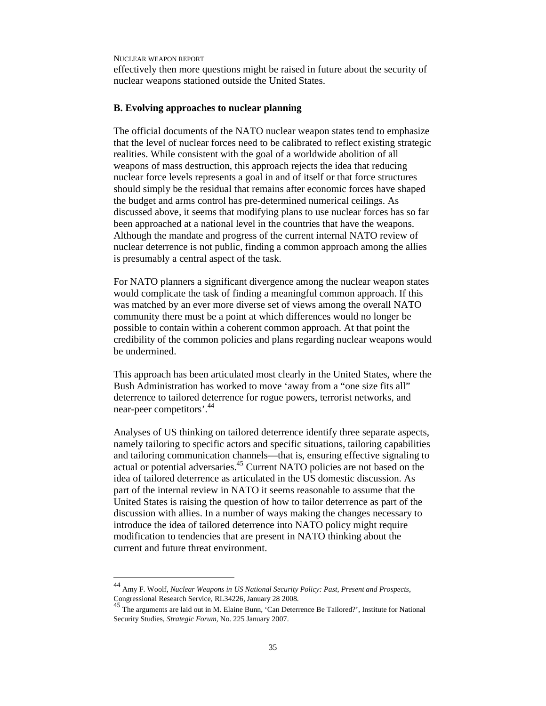-

effectively then more questions might be raised in future about the security of nuclear weapons stationed outside the United States.

### **B. Evolving approaches to nuclear planning**

The official documents of the NATO nuclear weapon states tend to emphasize that the level of nuclear forces need to be calibrated to reflect existing strategic realities. While consistent with the goal of a worldwide abolition of all weapons of mass destruction, this approach rejects the idea that reducing nuclear force levels represents a goal in and of itself or that force structures should simply be the residual that remains after economic forces have shaped the budget and arms control has pre-determined numerical ceilings. As discussed above, it seems that modifying plans to use nuclear forces has so far been approached at a national level in the countries that have the weapons. Although the mandate and progress of the current internal NATO review of nuclear deterrence is not public, finding a common approach among the allies is presumably a central aspect of the task.

For NATO planners a significant divergence among the nuclear weapon states would complicate the task of finding a meaningful common approach. If this was matched by an ever more diverse set of views among the overall NATO community there must be a point at which differences would no longer be possible to contain within a coherent common approach. At that point the credibility of the common policies and plans regarding nuclear weapons would be undermined.

This approach has been articulated most clearly in the United States, where the Bush Administration has worked to move 'away from a "one size fits all" deterrence to tailored deterrence for rogue powers, terrorist networks, and near-peer competitors'.<sup>44</sup>

Analyses of US thinking on tailored deterrence identify three separate aspects, namely tailoring to specific actors and specific situations, tailoring capabilities and tailoring communication channels—that is, ensuring effective signaling to actual or potential adversaries.<sup>45</sup> Current NATO policies are not based on the idea of tailored deterrence as articulated in the US domestic discussion. As part of the internal review in NATO it seems reasonable to assume that the United States is raising the question of how to tailor deterrence as part of the discussion with allies. In a number of ways making the changes necessary to introduce the idea of tailored deterrence into NATO policy might require modification to tendencies that are present in NATO thinking about the current and future threat environment.

<sup>44</sup> Amy F. Woolf, *Nuclear Weapons in US National Security Policy: Past, Present and Prospects*,

Congressional Research Service, RL34226, January 28 2008.<br><sup>45</sup> The arguments are laid out in M. Elaine Bunn, 'Can Deterrence Be Tailored?', Institute for National Security Studies, *Strategic Forum*, No. 225 January 2007.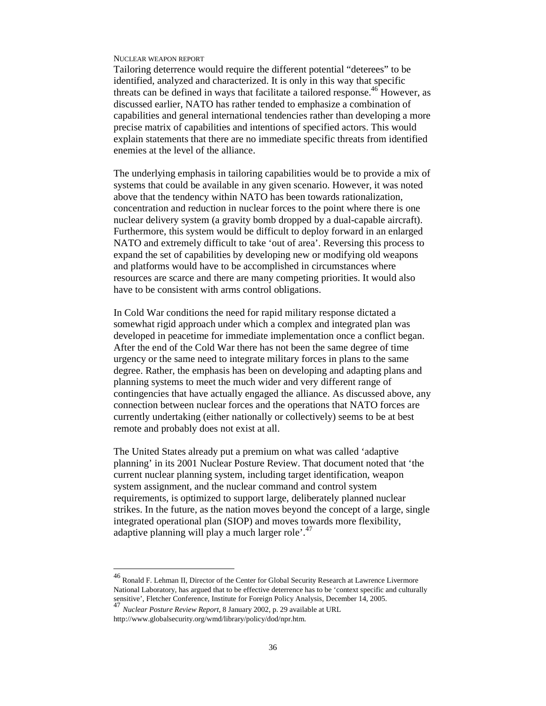Tailoring deterrence would require the different potential "deterees" to be identified, analyzed and characterized. It is only in this way that specific threats can be defined in ways that facilitate a tailored response.<sup>46</sup> However, as discussed earlier, NATO has rather tended to emphasize a combination of capabilities and general international tendencies rather than developing a more precise matrix of capabilities and intentions of specified actors. This would explain statements that there are no immediate specific threats from identified enemies at the level of the alliance.

The underlying emphasis in tailoring capabilities would be to provide a mix of systems that could be available in any given scenario. However, it was noted above that the tendency within NATO has been towards rationalization, concentration and reduction in nuclear forces to the point where there is one nuclear delivery system (a gravity bomb dropped by a dual-capable aircraft). Furthermore, this system would be difficult to deploy forward in an enlarged NATO and extremely difficult to take 'out of area'. Reversing this process to expand the set of capabilities by developing new or modifying old weapons and platforms would have to be accomplished in circumstances where resources are scarce and there are many competing priorities. It would also have to be consistent with arms control obligations.

In Cold War conditions the need for rapid military response dictated a somewhat rigid approach under which a complex and integrated plan was developed in peacetime for immediate implementation once a conflict began. After the end of the Cold War there has not been the same degree of time urgency or the same need to integrate military forces in plans to the same degree. Rather, the emphasis has been on developing and adapting plans and planning systems to meet the much wider and very different range of contingencies that have actually engaged the alliance. As discussed above, any connection between nuclear forces and the operations that NATO forces are currently undertaking (either nationally or collectively) seems to be at best remote and probably does not exist at all.

The United States already put a premium on what was called 'adaptive planning' in its 2001 Nuclear Posture Review. That document noted that 'the current nuclear planning system, including target identification, weapon system assignment, and the nuclear command and control system requirements, is optimized to support large, deliberately planned nuclear strikes. In the future, as the nation moves beyond the concept of a large, single integrated operational plan (SIOP) and moves towards more flexibility, adaptive planning will play a much larger role'.<sup>47</sup>

 $^{46}$  Ronald F. Lehman II, Director of the Center for Global Security Research at Lawrence Livermore National Laboratory, has argued that to be effective deterrence has to be 'context specific and culturally sensitive', Fletcher Conference, Institute for Foreign Policy Analysis, December 14, 2005. <sup>47</sup> *Nuclear Posture Review Report*, 8 January 2002, p. 29 available at URL

http://www.globalsecurity.org/wmd/library/policy/dod/npr.htm.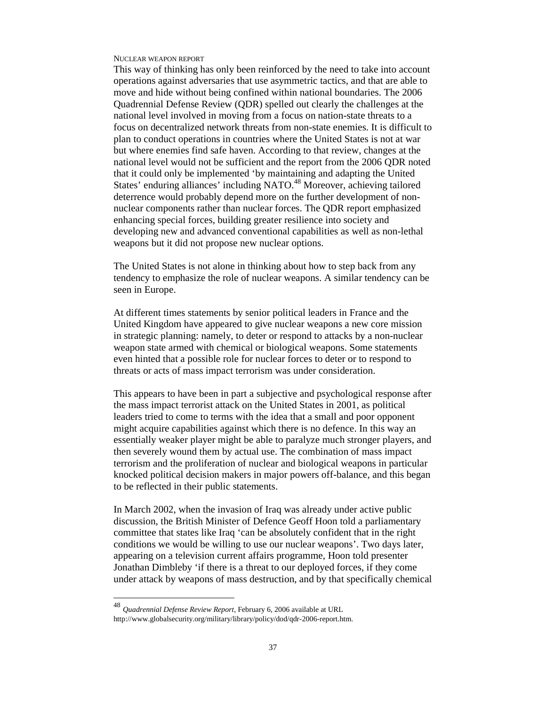This way of thinking has only been reinforced by the need to take into account operations against adversaries that use asymmetric tactics, and that are able to move and hide without being confined within national boundaries. The 2006 Quadrennial Defense Review (QDR) spelled out clearly the challenges at the national level involved in moving from a focus on nation-state threats to a focus on decentralized network threats from non-state enemies. It is difficult to plan to conduct operations in countries where the United States is not at war but where enemies find safe haven. According to that review, changes at the national level would not be sufficient and the report from the 2006 QDR noted that it could only be implemented 'by maintaining and adapting the United States' enduring alliances' including NATO.<sup>48</sup> Moreover, achieving tailored deterrence would probably depend more on the further development of nonnuclear components rather than nuclear forces. The QDR report emphasized enhancing special forces, building greater resilience into society and developing new and advanced conventional capabilities as well as non-lethal weapons but it did not propose new nuclear options.

The United States is not alone in thinking about how to step back from any tendency to emphasize the role of nuclear weapons. A similar tendency can be seen in Europe.

At different times statements by senior political leaders in France and the United Kingdom have appeared to give nuclear weapons a new core mission in strategic planning: namely, to deter or respond to attacks by a non-nuclear weapon state armed with chemical or biological weapons. Some statements even hinted that a possible role for nuclear forces to deter or to respond to threats or acts of mass impact terrorism was under consideration.

This appears to have been in part a subjective and psychological response after the mass impact terrorist attack on the United States in 2001, as political leaders tried to come to terms with the idea that a small and poor opponent might acquire capabilities against which there is no defence. In this way an essentially weaker player might be able to paralyze much stronger players, and then severely wound them by actual use. The combination of mass impact terrorism and the proliferation of nuclear and biological weapons in particular knocked political decision makers in major powers off-balance, and this began to be reflected in their public statements.

In March 2002, when the invasion of Iraq was already under active public discussion, the British Minister of Defence Geoff Hoon told a parliamentary committee that states like Iraq 'can be absolutely confident that in the right conditions we would be willing to use our nuclear weapons'. Two days later, appearing on a television current affairs programme, Hoon told presenter Jonathan Dimbleby 'if there is a threat to our deployed forces, if they come under attack by weapons of mass destruction, and by that specifically chemical

<sup>48</sup> *Quadrennial Defense Review Report*, February 6, 2006 available at URL

http://www.globalsecurity.org/military/library/policy/dod/qdr-2006-report.htm.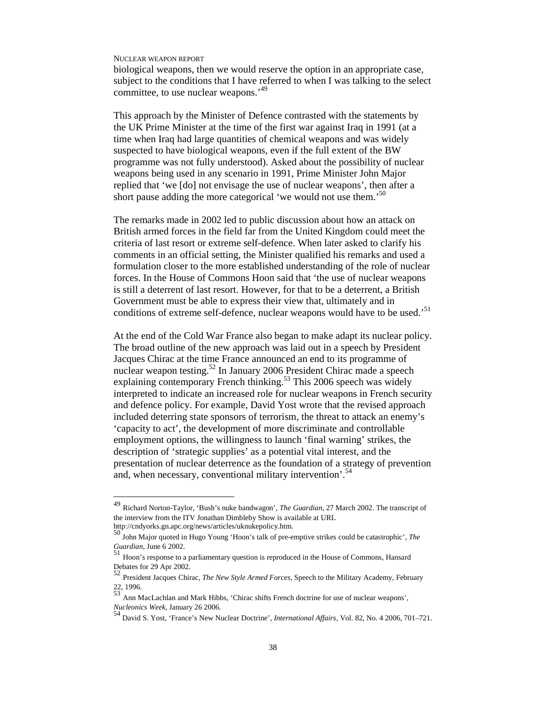-

biological weapons, then we would reserve the option in an appropriate case, subject to the conditions that I have referred to when I was talking to the select committee, to use nuclear weapons.<sup>49</sup>

This approach by the Minister of Defence contrasted with the statements by the UK Prime Minister at the time of the first war against Iraq in 1991 (at a time when Iraq had large quantities of chemical weapons and was widely suspected to have biological weapons, even if the full extent of the BW programme was not fully understood). Asked about the possibility of nuclear weapons being used in any scenario in 1991, Prime Minister John Major replied that 'we [do] not envisage the use of nuclear weapons', then after a short pause adding the more categorical 'we would not use them.<sup>50</sup>

The remarks made in 2002 led to public discussion about how an attack on British armed forces in the field far from the United Kingdom could meet the criteria of last resort or extreme self-defence. When later asked to clarify his comments in an official setting, the Minister qualified his remarks and used a formulation closer to the more established understanding of the role of nuclear forces. In the House of Commons Hoon said that 'the use of nuclear weapons is still a deterrent of last resort. However, for that to be a deterrent, a British Government must be able to express their view that, ultimately and in conditions of extreme self-defence, nuclear weapons would have to be used.<sup>51</sup>

At the end of the Cold War France also began to make adapt its nuclear policy. The broad outline of the new approach was laid out in a speech by President Jacques Chirac at the time France announced an end to its programme of nuclear weapon testing.<sup>52</sup> In January 2006 President Chirac made a speech explaining contemporary French thinking.<sup>53</sup> This 2006 speech was widely interpreted to indicate an increased role for nuclear weapons in French security and defence policy. For example, David Yost wrote that the revised approach included deterring state sponsors of terrorism, the threat to attack an enemy's 'capacity to act', the development of more discriminate and controllable employment options, the willingness to launch 'final warning' strikes, the description of 'strategic supplies' as a potential vital interest, and the presentation of nuclear deterrence as the foundation of a strategy of prevention and, when necessary, conventional military intervention<sup>54</sup>

<sup>49</sup> Richard Norton-Taylor, 'Bush's nuke bandwagon', *The Guardian*, 27 March 2002. The transcript of the interview from the ITV Jonathan Dimbleby Show is available at URL http://cndyorks.gn.apc.org/news/articles/uknukepolicy.htm.

<sup>50</sup> John Major quoted in Hugo Young 'Hoon's talk of pre-emptive strikes could be catastrophic', *The Guardian*, June 6 2002.

<sup>51</sup> Hoon's response to a parliamentary question is reproduced in the House of Commons, Hansard Debates for 29 Apr 2002.

<sup>52</sup> President Jacques Chirac, *The New Style Armed Forces*, Speech to the Military Academy, February  $\frac{22}{53}$ , 1996.

<sup>53</sup> Ann MacLachlan and Mark Hibbs, 'Chirac shifts French doctrine for use of nuclear weapons', *Nucleonics Week*, January 26 2006.

<sup>54</sup> David S. Yost, 'France's New Nuclear Doctrine', *International Affairs*, Vol. 82, No. 4 2006, 701–721.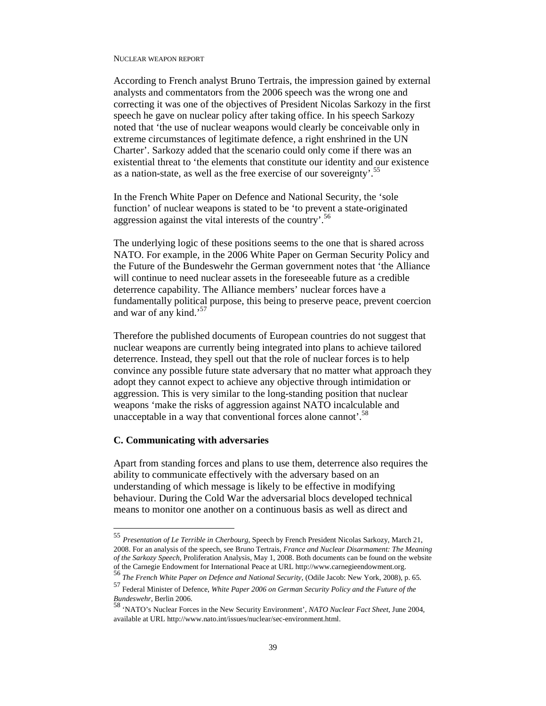According to French analyst Bruno Tertrais, the impression gained by external analysts and commentators from the 2006 speech was the wrong one and correcting it was one of the objectives of President Nicolas Sarkozy in the first speech he gave on nuclear policy after taking office. In his speech Sarkozy noted that 'the use of nuclear weapons would clearly be conceivable only in extreme circumstances of legitimate defence, a right enshrined in the UN Charter'. Sarkozy added that the scenario could only come if there was an existential threat to 'the elements that constitute our identity and our existence as a nation-state, as well as the free exercise of our sovereignty'.<sup>55</sup>

In the French White Paper on Defence and National Security, the 'sole function' of nuclear weapons is stated to be 'to prevent a state-originated aggression against the vital interests of the country'.<sup>56</sup>

The underlying logic of these positions seems to the one that is shared across NATO. For example, in the 2006 White Paper on German Security Policy and the Future of the Bundeswehr the German government notes that 'the Alliance will continue to need nuclear assets in the foreseeable future as a credible deterrence capability. The Alliance members' nuclear forces have a fundamentally political purpose, this being to preserve peace, prevent coercion and war of any kind.'<sup>57</sup>

Therefore the published documents of European countries do not suggest that nuclear weapons are currently being integrated into plans to achieve tailored deterrence. Instead, they spell out that the role of nuclear forces is to help convince any possible future state adversary that no matter what approach they adopt they cannot expect to achieve any objective through intimidation or aggression. This is very similar to the long-standing position that nuclear weapons 'make the risks of aggression against NATO incalculable and unacceptable in a way that conventional forces alone cannot'.<sup>58</sup>

### **C. Communicating with adversaries**

-

Apart from standing forces and plans to use them, deterrence also requires the ability to communicate effectively with the adversary based on an understanding of which message is likely to be effective in modifying behaviour. During the Cold War the adversarial blocs developed technical means to monitor one another on a continuous basis as well as direct and

<sup>55</sup> *Presentation of Le Terrible in Cherbourg*, Speech by French President Nicolas Sarkozy, March 21, 2008. For an analysis of the speech, see Bruno Tertrais, *France and Nuclear Disarmament: The Meaning of the Sarkozy Speech*, Proliferation Analysis, May 1, 2008. Both documents can be found on the website of the Carnegie Endowment for International Peace at URL http://www.carnegieendowment.org.

<sup>56</sup> *The French White Paper on Defence and National Security*, (Odile Jacob: New York, 2008), p. 65.

<sup>57</sup> Federal Minister of Defence, *White Paper 2006 on German Security Policy and the Future of the Bundeswehr*, Berlin 2006. <sup>58</sup> 'NATO's Nuclear Forces in the New Security Environment', *NATO Nuclear Fact Sheet*, June 2004,

available at URL http://www.nato.int/issues/nuclear/sec-environment.html.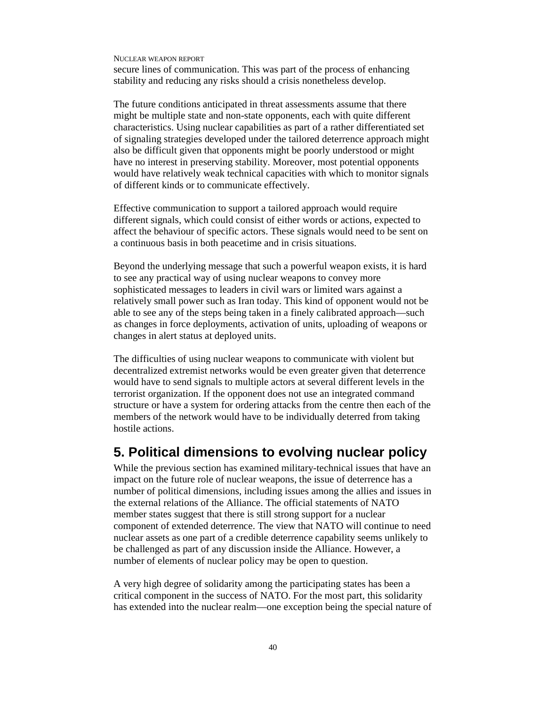secure lines of communication. This was part of the process of enhancing stability and reducing any risks should a crisis nonetheless develop.

The future conditions anticipated in threat assessments assume that there might be multiple state and non-state opponents, each with quite different characteristics. Using nuclear capabilities as part of a rather differentiated set of signaling strategies developed under the tailored deterrence approach might also be difficult given that opponents might be poorly understood or might have no interest in preserving stability. Moreover, most potential opponents would have relatively weak technical capacities with which to monitor signals of different kinds or to communicate effectively.

Effective communication to support a tailored approach would require different signals, which could consist of either words or actions, expected to affect the behaviour of specific actors. These signals would need to be sent on a continuous basis in both peacetime and in crisis situations.

Beyond the underlying message that such a powerful weapon exists, it is hard to see any practical way of using nuclear weapons to convey more sophisticated messages to leaders in civil wars or limited wars against a relatively small power such as Iran today. This kind of opponent would not be able to see any of the steps being taken in a finely calibrated approach—such as changes in force deployments, activation of units, uploading of weapons or changes in alert status at deployed units.

The difficulties of using nuclear weapons to communicate with violent but decentralized extremist networks would be even greater given that deterrence would have to send signals to multiple actors at several different levels in the terrorist organization. If the opponent does not use an integrated command structure or have a system for ordering attacks from the centre then each of the members of the network would have to be individually deterred from taking hostile actions.

### **5. Political dimensions to evolving nuclear policy**

While the previous section has examined military-technical issues that have an impact on the future role of nuclear weapons, the issue of deterrence has a number of political dimensions, including issues among the allies and issues in the external relations of the Alliance. The official statements of NATO member states suggest that there is still strong support for a nuclear component of extended deterrence. The view that NATO will continue to need nuclear assets as one part of a credible deterrence capability seems unlikely to be challenged as part of any discussion inside the Alliance. However, a number of elements of nuclear policy may be open to question.

A very high degree of solidarity among the participating states has been a critical component in the success of NATO. For the most part, this solidarity has extended into the nuclear realm—one exception being the special nature of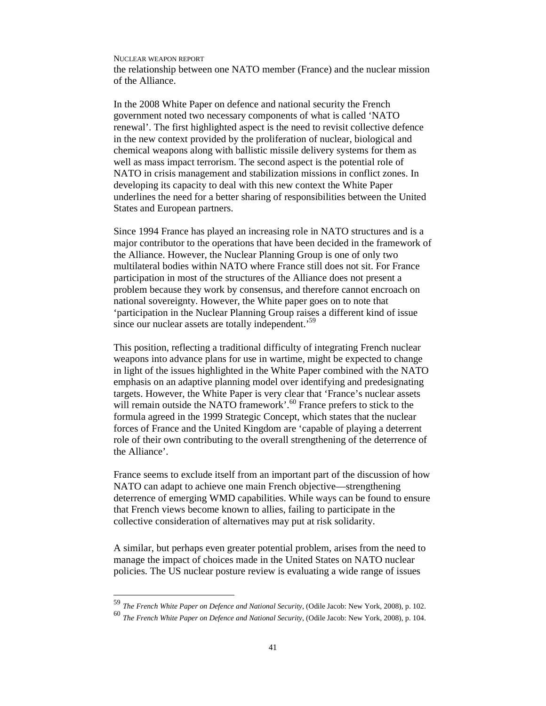-

the relationship between one NATO member (France) and the nuclear mission of the Alliance.

In the 2008 White Paper on defence and national security the French government noted two necessary components of what is called 'NATO renewal'. The first highlighted aspect is the need to revisit collective defence in the new context provided by the proliferation of nuclear, biological and chemical weapons along with ballistic missile delivery systems for them as well as mass impact terrorism. The second aspect is the potential role of NATO in crisis management and stabilization missions in conflict zones. In developing its capacity to deal with this new context the White Paper underlines the need for a better sharing of responsibilities between the United States and European partners.

Since 1994 France has played an increasing role in NATO structures and is a major contributor to the operations that have been decided in the framework of the Alliance. However, the Nuclear Planning Group is one of only two multilateral bodies within NATO where France still does not sit. For France participation in most of the structures of the Alliance does not present a problem because they work by consensus, and therefore cannot encroach on national sovereignty. However, the White paper goes on to note that 'participation in the Nuclear Planning Group raises a different kind of issue since our nuclear assets are totally independent.<sup>59</sup>

This position, reflecting a traditional difficulty of integrating French nuclear weapons into advance plans for use in wartime, might be expected to change in light of the issues highlighted in the White Paper combined with the NATO emphasis on an adaptive planning model over identifying and predesignating targets. However, the White Paper is very clear that 'France's nuclear assets will remain outside the NATO framework'.<sup>60</sup> France prefers to stick to the formula agreed in the 1999 Strategic Concept, which states that the nuclear forces of France and the United Kingdom are 'capable of playing a deterrent role of their own contributing to the overall strengthening of the deterrence of the Alliance'.

France seems to exclude itself from an important part of the discussion of how NATO can adapt to achieve one main French objective—strengthening deterrence of emerging WMD capabilities. While ways can be found to ensure that French views become known to allies, failing to participate in the collective consideration of alternatives may put at risk solidarity.

A similar, but perhaps even greater potential problem, arises from the need to manage the impact of choices made in the United States on NATO nuclear policies. The US nuclear posture review is evaluating a wide range of issues

<sup>59</sup> *The French White Paper on Defence and National Security*, (Odile Jacob: New York, 2008), p. 102.

<sup>60</sup> *The French White Paper on Defence and National Security*, (Odile Jacob: New York, 2008), p. 104.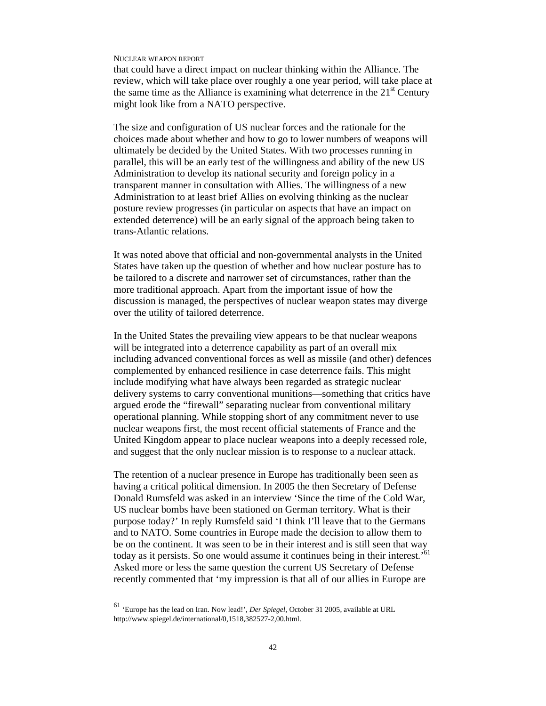that could have a direct impact on nuclear thinking within the Alliance. The review, which will take place over roughly a one year period, will take place at the same time as the Alliance is examining what deterrence in the  $21<sup>st</sup>$  Century might look like from a NATO perspective.

The size and configuration of US nuclear forces and the rationale for the choices made about whether and how to go to lower numbers of weapons will ultimately be decided by the United States. With two processes running in parallel, this will be an early test of the willingness and ability of the new US Administration to develop its national security and foreign policy in a transparent manner in consultation with Allies. The willingness of a new Administration to at least brief Allies on evolving thinking as the nuclear posture review progresses (in particular on aspects that have an impact on extended deterrence) will be an early signal of the approach being taken to trans-Atlantic relations.

It was noted above that official and non-governmental analysts in the United States have taken up the question of whether and how nuclear posture has to be tailored to a discrete and narrower set of circumstances, rather than the more traditional approach. Apart from the important issue of how the discussion is managed, the perspectives of nuclear weapon states may diverge over the utility of tailored deterrence.

In the United States the prevailing view appears to be that nuclear weapons will be integrated into a deterrence capability as part of an overall mix including advanced conventional forces as well as missile (and other) defences complemented by enhanced resilience in case deterrence fails. This might include modifying what have always been regarded as strategic nuclear delivery systems to carry conventional munitions—something that critics have argued erode the "firewall" separating nuclear from conventional military operational planning. While stopping short of any commitment never to use nuclear weapons first, the most recent official statements of France and the United Kingdom appear to place nuclear weapons into a deeply recessed role, and suggest that the only nuclear mission is to response to a nuclear attack.

The retention of a nuclear presence in Europe has traditionally been seen as having a critical political dimension. In 2005 the then Secretary of Defense Donald Rumsfeld was asked in an interview 'Since the time of the Cold War, US nuclear bombs have been stationed on German territory. What is their purpose today?' In reply Rumsfeld said 'I think I'll leave that to the Germans and to NATO. Some countries in Europe made the decision to allow them to be on the continent. It was seen to be in their interest and is still seen that way today as it persists. So one would assume it continues being in their interest.<sup>'61</sup> Asked more or less the same question the current US Secretary of Defense recently commented that 'my impression is that all of our allies in Europe are

<sup>61</sup> 'Europe has the lead on Iran. Now lead!', *Der Spiegel*, October 31 2005, available at URL http://www.spiegel.de/international/0,1518,382527-2,00.html.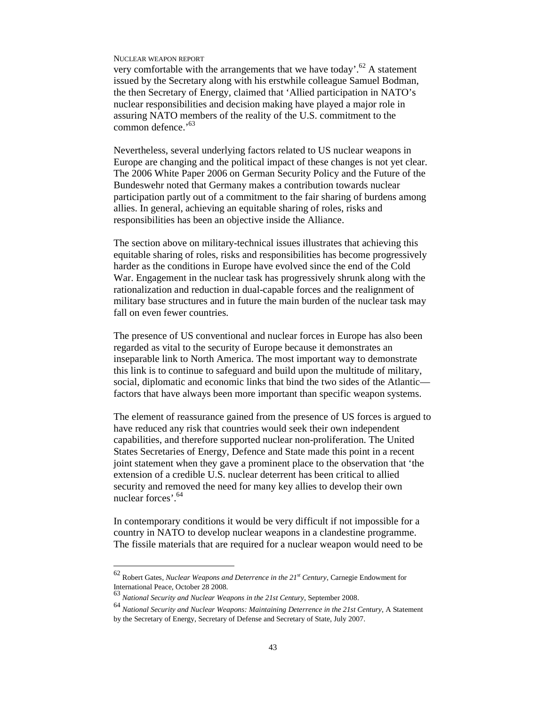very comfortable with the arrangements that we have today'.<sup>62</sup> A statement issued by the Secretary along with his erstwhile colleague Samuel Bodman, the then Secretary of Energy, claimed that 'Allied participation in NATO's nuclear responsibilities and decision making have played a major role in assuring NATO members of the reality of the U.S. commitment to the common defence.'<sup>63</sup>

Nevertheless, several underlying factors related to US nuclear weapons in Europe are changing and the political impact of these changes is not yet clear. The 2006 White Paper 2006 on German Security Policy and the Future of the Bundeswehr noted that Germany makes a contribution towards nuclear participation partly out of a commitment to the fair sharing of burdens among allies. In general, achieving an equitable sharing of roles, risks and responsibilities has been an objective inside the Alliance.

The section above on military-technical issues illustrates that achieving this equitable sharing of roles, risks and responsibilities has become progressively harder as the conditions in Europe have evolved since the end of the Cold War. Engagement in the nuclear task has progressively shrunk along with the rationalization and reduction in dual-capable forces and the realignment of military base structures and in future the main burden of the nuclear task may fall on even fewer countries.

The presence of US conventional and nuclear forces in Europe has also been regarded as vital to the security of Europe because it demonstrates an inseparable link to North America. The most important way to demonstrate this link is to continue to safeguard and build upon the multitude of military, social, diplomatic and economic links that bind the two sides of the Atlantic factors that have always been more important than specific weapon systems.

The element of reassurance gained from the presence of US forces is argued to have reduced any risk that countries would seek their own independent capabilities, and therefore supported nuclear non-proliferation. The United States Secretaries of Energy, Defence and State made this point in a recent joint statement when they gave a prominent place to the observation that 'the extension of a credible U.S. nuclear deterrent has been critical to allied security and removed the need for many key allies to develop their own nuclear forces'.<sup>64</sup>

In contemporary conditions it would be very difficult if not impossible for a country in NATO to develop nuclear weapons in a clandestine programme. The fissile materials that are required for a nuclear weapon would need to be

<sup>62</sup> Robert Gates, *Nuclear Weapons and Deterrence in the 21st Century*, Carnegie Endowment for International Peace, October 28 2008.

<sup>63</sup> *National Security and Nuclear Weapons in the 21st Century*, September 2008.

<sup>64</sup> *National Security and Nuclear Weapons: Maintaining Deterrence in the 21st Century*, A Statement by the Secretary of Energy, Secretary of Defense and Secretary of State, July 2007.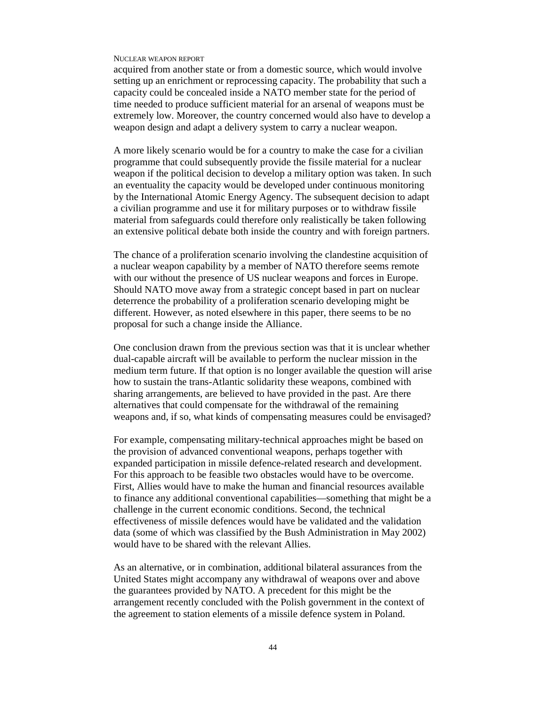acquired from another state or from a domestic source, which would involve setting up an enrichment or reprocessing capacity. The probability that such a capacity could be concealed inside a NATO member state for the period of time needed to produce sufficient material for an arsenal of weapons must be extremely low. Moreover, the country concerned would also have to develop a weapon design and adapt a delivery system to carry a nuclear weapon.

A more likely scenario would be for a country to make the case for a civilian programme that could subsequently provide the fissile material for a nuclear weapon if the political decision to develop a military option was taken. In such an eventuality the capacity would be developed under continuous monitoring by the International Atomic Energy Agency. The subsequent decision to adapt a civilian programme and use it for military purposes or to withdraw fissile material from safeguards could therefore only realistically be taken following an extensive political debate both inside the country and with foreign partners.

The chance of a proliferation scenario involving the clandestine acquisition of a nuclear weapon capability by a member of NATO therefore seems remote with our without the presence of US nuclear weapons and forces in Europe. Should NATO move away from a strategic concept based in part on nuclear deterrence the probability of a proliferation scenario developing might be different. However, as noted elsewhere in this paper, there seems to be no proposal for such a change inside the Alliance.

One conclusion drawn from the previous section was that it is unclear whether dual-capable aircraft will be available to perform the nuclear mission in the medium term future. If that option is no longer available the question will arise how to sustain the trans-Atlantic solidarity these weapons, combined with sharing arrangements, are believed to have provided in the past. Are there alternatives that could compensate for the withdrawal of the remaining weapons and, if so, what kinds of compensating measures could be envisaged?

For example, compensating military-technical approaches might be based on the provision of advanced conventional weapons, perhaps together with expanded participation in missile defence-related research and development. For this approach to be feasible two obstacles would have to be overcome. First, Allies would have to make the human and financial resources available to finance any additional conventional capabilities—something that might be a challenge in the current economic conditions. Second, the technical effectiveness of missile defences would have be validated and the validation data (some of which was classified by the Bush Administration in May 2002) would have to be shared with the relevant Allies.

As an alternative, or in combination, additional bilateral assurances from the United States might accompany any withdrawal of weapons over and above the guarantees provided by NATO. A precedent for this might be the arrangement recently concluded with the Polish government in the context of the agreement to station elements of a missile defence system in Poland.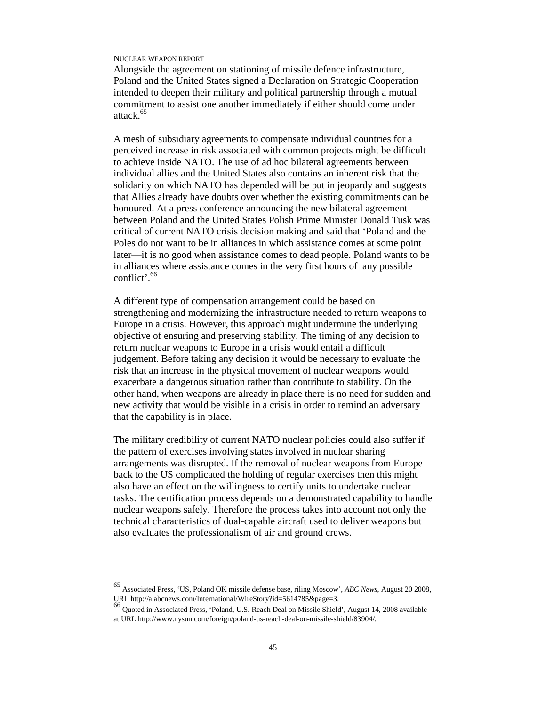-

Alongside the agreement on stationing of missile defence infrastructure, Poland and the United States signed a Declaration on Strategic Cooperation intended to deepen their military and political partnership through a mutual commitment to assist one another immediately if either should come under attack.<sup>65</sup>

A mesh of subsidiary agreements to compensate individual countries for a perceived increase in risk associated with common projects might be difficult to achieve inside NATO. The use of ad hoc bilateral agreements between individual allies and the United States also contains an inherent risk that the solidarity on which NATO has depended will be put in jeopardy and suggests that Allies already have doubts over whether the existing commitments can be honoured. At a press conference announcing the new bilateral agreement between Poland and the United States Polish Prime Minister Donald Tusk was critical of current NATO crisis decision making and said that 'Poland and the Poles do not want to be in alliances in which assistance comes at some point later—it is no good when assistance comes to dead people. Poland wants to be in alliances where assistance comes in the very first hours of any possible conflict'.<sup>66</sup>

A different type of compensation arrangement could be based on strengthening and modernizing the infrastructure needed to return weapons to Europe in a crisis. However, this approach might undermine the underlying objective of ensuring and preserving stability. The timing of any decision to return nuclear weapons to Europe in a crisis would entail a difficult judgement. Before taking any decision it would be necessary to evaluate the risk that an increase in the physical movement of nuclear weapons would exacerbate a dangerous situation rather than contribute to stability. On the other hand, when weapons are already in place there is no need for sudden and new activity that would be visible in a crisis in order to remind an adversary that the capability is in place.

The military credibility of current NATO nuclear policies could also suffer if the pattern of exercises involving states involved in nuclear sharing arrangements was disrupted. If the removal of nuclear weapons from Europe back to the US complicated the holding of regular exercises then this might also have an effect on the willingness to certify units to undertake nuclear tasks. The certification process depends on a demonstrated capability to handle nuclear weapons safely. Therefore the process takes into account not only the technical characteristics of dual-capable aircraft used to deliver weapons but also evaluates the professionalism of air and ground crews.

<sup>65</sup> Associated Press, 'US, Poland OK missile defense base, riling Moscow', *ABC News*, August 20 2008, URL http://a.abcnews.com/International/WireStory?id=5614785&page=3.

<sup>66</sup> Quoted in Associated Press, 'Poland, U.S. Reach Deal on Missile Shield', August 14, 2008 available at URL http://www.nysun.com/foreign/poland-us-reach-deal-on-missile-shield/83904/.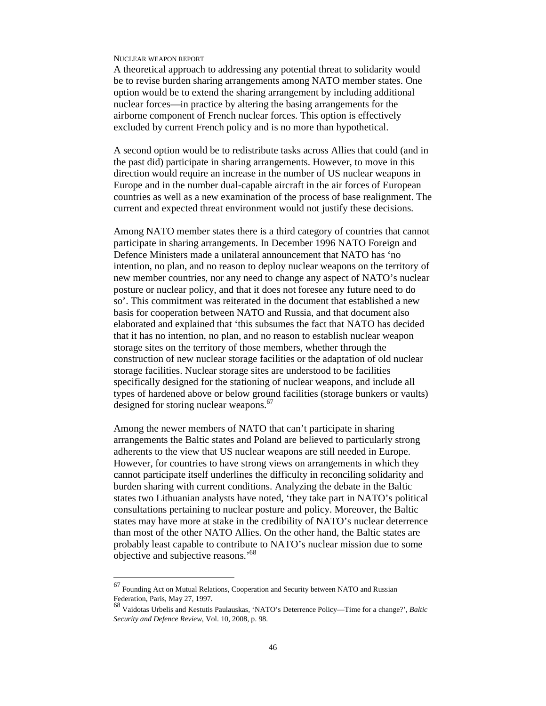A theoretical approach to addressing any potential threat to solidarity would be to revise burden sharing arrangements among NATO member states. One option would be to extend the sharing arrangement by including additional nuclear forces—in practice by altering the basing arrangements for the airborne component of French nuclear forces. This option is effectively excluded by current French policy and is no more than hypothetical.

A second option would be to redistribute tasks across Allies that could (and in the past did) participate in sharing arrangements. However, to move in this direction would require an increase in the number of US nuclear weapons in Europe and in the number dual-capable aircraft in the air forces of European countries as well as a new examination of the process of base realignment. The current and expected threat environment would not justify these decisions.

Among NATO member states there is a third category of countries that cannot participate in sharing arrangements. In December 1996 NATO Foreign and Defence Ministers made a unilateral announcement that NATO has 'no intention, no plan, and no reason to deploy nuclear weapons on the territory of new member countries, nor any need to change any aspect of NATO's nuclear posture or nuclear policy, and that it does not foresee any future need to do so'. This commitment was reiterated in the document that established a new basis for cooperation between NATO and Russia, and that document also elaborated and explained that 'this subsumes the fact that NATO has decided that it has no intention, no plan, and no reason to establish nuclear weapon storage sites on the territory of those members, whether through the construction of new nuclear storage facilities or the adaptation of old nuclear storage facilities. Nuclear storage sites are understood to be facilities specifically designed for the stationing of nuclear weapons, and include all types of hardened above or below ground facilities (storage bunkers or vaults) designed for storing nuclear weapons.<sup>67</sup>

Among the newer members of NATO that can't participate in sharing arrangements the Baltic states and Poland are believed to particularly strong adherents to the view that US nuclear weapons are still needed in Europe. However, for countries to have strong views on arrangements in which they cannot participate itself underlines the difficulty in reconciling solidarity and burden sharing with current conditions. Analyzing the debate in the Baltic states two Lithuanian analysts have noted, 'they take part in NATO's political consultations pertaining to nuclear posture and policy. Moreover, the Baltic states may have more at stake in the credibility of NATO's nuclear deterrence than most of the other NATO Allies. On the other hand, the Baltic states are probably least capable to contribute to NATO's nuclear mission due to some objective and subjective reasons.'<sup>68</sup>

<sup>67</sup> Founding Act on Mutual Relations, Cooperation and Security between NATO and Russian Federation, Paris, May 27, 1997.

<sup>68</sup> Vaidotas Urbelis and Kestutis Paulauskas, 'NATO's Deterrence Policy—Time for a change?', *Baltic Security and Defence Review*, Vol. 10, 2008, p. 98.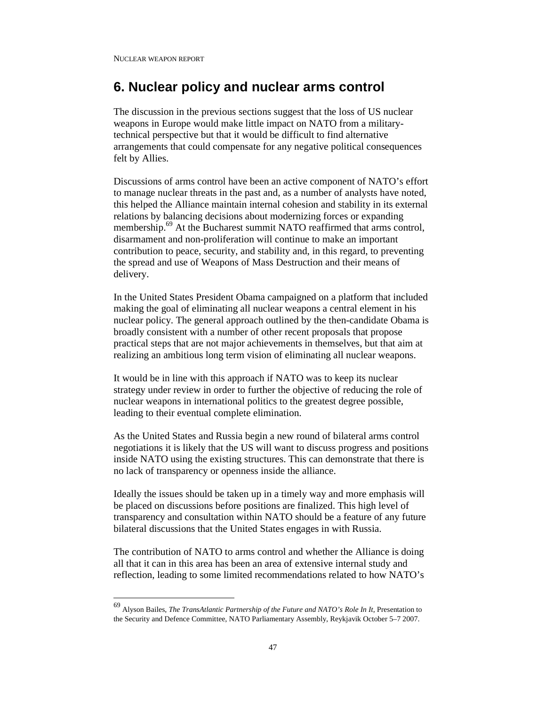-

# **6. Nuclear policy and nuclear arms control**

The discussion in the previous sections suggest that the loss of US nuclear weapons in Europe would make little impact on NATO from a militarytechnical perspective but that it would be difficult to find alternative arrangements that could compensate for any negative political consequences felt by Allies.

Discussions of arms control have been an active component of NATO's effort to manage nuclear threats in the past and, as a number of analysts have noted, this helped the Alliance maintain internal cohesion and stability in its external relations by balancing decisions about modernizing forces or expanding membership.<sup>69</sup> At the Bucharest summit NATO reaffirmed that arms control, disarmament and non-proliferation will continue to make an important contribution to peace, security, and stability and, in this regard, to preventing the spread and use of Weapons of Mass Destruction and their means of delivery.

In the United States President Obama campaigned on a platform that included making the goal of eliminating all nuclear weapons a central element in his nuclear policy. The general approach outlined by the then-candidate Obama is broadly consistent with a number of other recent proposals that propose practical steps that are not major achievements in themselves, but that aim at realizing an ambitious long term vision of eliminating all nuclear weapons.

It would be in line with this approach if NATO was to keep its nuclear strategy under review in order to further the objective of reducing the role of nuclear weapons in international politics to the greatest degree possible, leading to their eventual complete elimination.

As the United States and Russia begin a new round of bilateral arms control negotiations it is likely that the US will want to discuss progress and positions inside NATO using the existing structures. This can demonstrate that there is no lack of transparency or openness inside the alliance.

Ideally the issues should be taken up in a timely way and more emphasis will be placed on discussions before positions are finalized. This high level of transparency and consultation within NATO should be a feature of any future bilateral discussions that the United States engages in with Russia.

The contribution of NATO to arms control and whether the Alliance is doing all that it can in this area has been an area of extensive internal study and reflection, leading to some limited recommendations related to how NATO's

<sup>69</sup> Alyson Bailes, *The TransAtlantic Partnership of the Future and NATO's Role In It*, Presentation to the Security and Defence Committee, NATO Parliamentary Assembly, Reykjavik October 5–7 2007.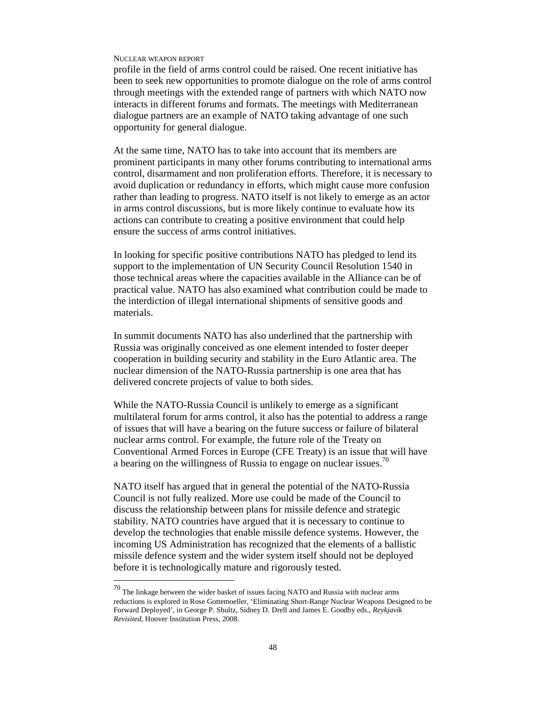-

profile in the field of arms control could be raised. One recent initiative has been to seek new opportunities to promote dialogue on the role of arms control through meetings with the extended range of partners with which NATO now interacts in different forums and formats. The meetings with Mediterranean dialogue partners are an example of NATO taking advantage of one such opportunity for general dialogue.

At the same time, NATO has to take into account that its members are prominent participants in many other forums contributing to international arms control, disarmament and non proliferation efforts. Therefore, it is necessary to avoid duplication or redundancy in efforts, which might cause more confusion rather than leading to progress. NATO itself is not likely to emerge as an actor in arms control discussions, but is more likely continue to evaluate how its actions can contribute to creating a positive environment that could help ensure the success of arms control initiatives.

In looking for specific positive contributions NATO has pledged to lend its support to the implementation of UN Security Council Resolution 1540 in those technical areas where the capacities available in the Alliance can be of practical value. NATO has also examined what contribution could be made to the interdiction of illegal international shipments of sensitive goods and materials.

In summit documents NATO has also underlined that the partnership with Russia was originally conceived as one element intended to foster deeper cooperation in building security and stability in the Euro Atlantic area. The nuclear dimension of the NATO-Russia partnership is one area that has delivered concrete projects of value to both sides.

While the NATO-Russia Council is unlikely to emerge as a significant multilateral forum for arms control, it also has the potential to address a range of issues that will have a bearing on the future success or failure of bilateral nuclear arms control. For example, the future role of the Treaty on Conventional Armed Forces in Europe (CFE Treaty) is an issue that will have a bearing on the willingness of Russia to engage on nuclear issues.<sup>70</sup>

NATO itself has argued that in general the potential of the NATO-Russia Council is not fully realized. More use could be made of the Council to discuss the relationship between plans for missile defence and strategic stability. NATO countries have argued that it is necessary to continue to develop the technologies that enable missile defence systems. However, the incoming US Administration has recognized that the elements of a ballistic missile defence system and the wider system itself should not be deployed before it is technologically mature and rigorously tested.

 $70$  The linkage between the wider basket of issues facing NATO and Russia with nuclear arms reductions is explored in Rose Gottemoeller, 'Eliminating Short-Range Nuclear Weapons Designed to be Forward Deployed', in George P. Shultz, Sidney D. Drell and James E. Goodby eds., *Reykjavik Revisited*, Hoover Institution Press, 2008.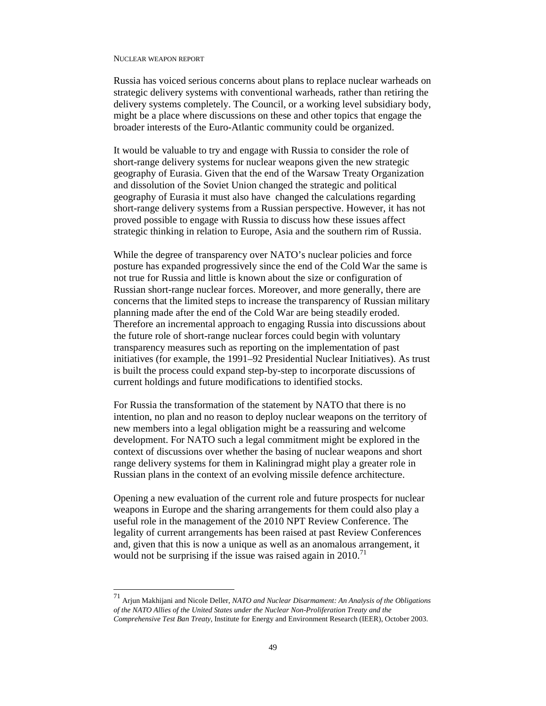-

Russia has voiced serious concerns about plans to replace nuclear warheads on strategic delivery systems with conventional warheads, rather than retiring the delivery systems completely. The Council, or a working level subsidiary body, might be a place where discussions on these and other topics that engage the broader interests of the Euro-Atlantic community could be organized.

It would be valuable to try and engage with Russia to consider the role of short-range delivery systems for nuclear weapons given the new strategic geography of Eurasia. Given that the end of the Warsaw Treaty Organization and dissolution of the Soviet Union changed the strategic and political geography of Eurasia it must also have changed the calculations regarding short-range delivery systems from a Russian perspective. However, it has not proved possible to engage with Russia to discuss how these issues affect strategic thinking in relation to Europe, Asia and the southern rim of Russia.

While the degree of transparency over NATO's nuclear policies and force posture has expanded progressively since the end of the Cold War the same is not true for Russia and little is known about the size or configuration of Russian short-range nuclear forces. Moreover, and more generally, there are concerns that the limited steps to increase the transparency of Russian military planning made after the end of the Cold War are being steadily eroded. Therefore an incremental approach to engaging Russia into discussions about the future role of short-range nuclear forces could begin with voluntary transparency measures such as reporting on the implementation of past initiatives (for example, the 1991–92 Presidential Nuclear Initiatives). As trust is built the process could expand step-by-step to incorporate discussions of current holdings and future modifications to identified stocks.

For Russia the transformation of the statement by NATO that there is no intention, no plan and no reason to deploy nuclear weapons on the territory of new members into a legal obligation might be a reassuring and welcome development. For NATO such a legal commitment might be explored in the context of discussions over whether the basing of nuclear weapons and short range delivery systems for them in Kaliningrad might play a greater role in Russian plans in the context of an evolving missile defence architecture.

Opening a new evaluation of the current role and future prospects for nuclear weapons in Europe and the sharing arrangements for them could also play a useful role in the management of the 2010 NPT Review Conference. The legality of current arrangements has been raised at past Review Conferences and, given that this is now a unique as well as an anomalous arrangement, it would not be surprising if the issue was raised again in 2010.<sup>71</sup>

<sup>71</sup> Arjun Makhijani and Nicole Deller, *NATO and Nuclear Disarmament: An Analysis of the Obligations of the NATO Allies of the United States under the Nuclear Non-Proliferation Treaty and the Comprehensive Test Ban Treaty*, Institute for Energy and Environment Research (IEER), October 2003.